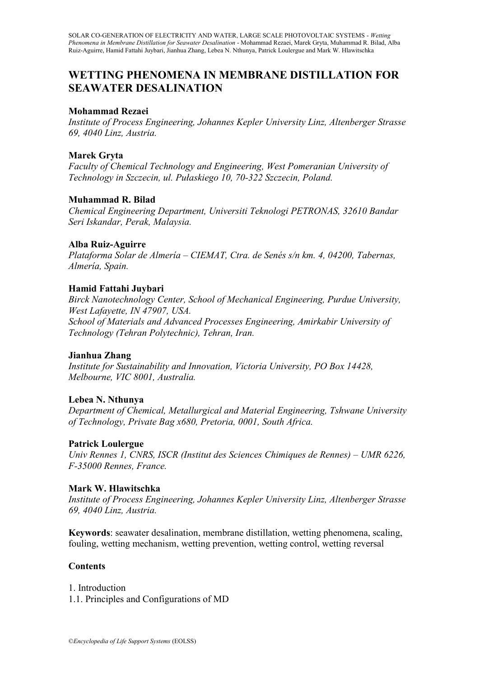# **WETTING PHENOMENA IN MEMBRANE DISTILLATION FOR SEAWATER DESALINATION**

# **Mohammad Rezaei**

*Institute of Process Engineering, Johannes Kepler University Linz, Altenberger Strasse 69, 4040 Linz, Austria.*

# **Marek Gryta**

*Faculty of Chemical Technology and Engineering, West Pomeranian University of Technology in Szczecin, ul. Pułaskiego 10, 70-322 Szczecin, Poland.*

# **Muhammad R. Bilad**

*Chemical Engineering Department, Universiti Teknologi PETRONAS, 32610 Bandar Seri Iskandar, Perak, Malaysia.*

## **Alba Ruiz-Aguirre**

*Plataforma Solar de Almería – CIEMAT, Ctra. de Senés s/n km. 4, 04200, Tabernas, Almería, Spain.*

# **Hamid Fattahi Juybari**

*Birck Nanotechnology Center, School of Mechanical Engineering, Purdue University, West Lafayette, IN 47907, USA. School of Materials and Advanced Processes Engineering, Amirkabir University of Technology (Tehran Polytechnic), Tehran, Iran.*

## **Jianhua Zhang**

*Institute for Sustainability and Innovation, Victoria University, PO Box 14428, Melbourne, VIC 8001, Australia.*

# **Lebea N. Nthunya**

*Department of Chemical, Metallurgical and Material Engineering, Tshwane University of Technology, Private Bag x680, Pretoria, 0001, South Africa.*

## **Patrick Loulergue**

*Univ Rennes 1, CNRS, ISCR (Institut des Sciences Chimiques de Rennes) – UMR 6226, F-35000 Rennes, France.*

# **Mark W. Hlawitschka**

*Institute of Process Engineering, Johannes Kepler University Linz, Altenberger Strasse 69, 4040 Linz, Austria.*

**Keywords**: seawater desalination, membrane distillation, wetting phenomena, scaling, fouling, wetting mechanism, wetting prevention, wetting control, wetting reversal

## **Contents**

1. Introduction 1.1. Principles and Configurations of MD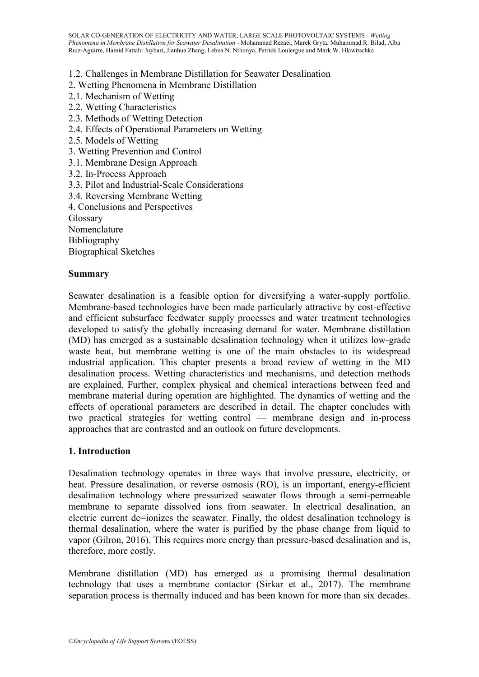1.2. Challenges in Membrane Distillation for Seawater Desalination

- 2. Wetting Phenomena in Membrane Distillation
- 2.1. Mechanism of Wetting
- 2.2. Wetting Characteristics
- 2.3. Methods of Wetting Detection
- 2.4. Effects of Operational Parameters on Wetting
- 2.5. Models of Wetting
- 3. Wetting Prevention and Control
- 3.1. Membrane Design Approach
- 3.2. In-Process Approach
- 3.3. Pilot and Industrial-Scale Considerations
- 3.4. Reversing Membrane Wetting
- 4. Conclusions and Perspectives

Glossary

Nomenclature

Bibliography

Biographical Sketches

### **Summary**

Seawater desalination is a feasible option for diversifying a water-supply portfolio. Membrane-based technologies have been made particularly attractive by cost-effective and efficient subsurface feedwater supply processes and water treatment technologies developed to satisfy the globally increasing demand for water. Membrane distillation (MD) has emerged as a sustainable desalination technology when it utilizes low-grade waste heat, but membrane wetting is one of the main obstacles to its widespread industrial application. This chapter presents a broad review of wetting in the MD desalination process. Wetting characteristics and mechanisms, and detection methods are explained. Further, complex physical and chemical interactions between feed and membrane material during operation are highlighted. The dynamics of wetting and the effects of operational parameters are described in detail. The chapter concludes with two practical strategies for wetting control — membrane design and in-process approaches that are contrasted and an outlook on future developments.

### **1. Introduction**

Desalination technology operates in three ways that involve pressure, electricity, or heat. Pressure desalination, or reverse osmosis (RO), is an important, energy-efficient desalination technology where pressurized seawater flows through a semi-permeable membrane to separate dissolved ions from seawater. In electrical desalination, an electric current de=ionizes the seawater. Finally, the oldest desalination technology is thermal desalination, where the water is purified by the phase change from liquid to vapor (Gilron, 2016). This requires more energy than pressure-based desalination and is, therefore, more costly.

Membrane distillation (MD) has emerged as a promising thermal desalination technology that uses a membrane contactor (Sirkar et al., 2017). The membrane separation process is thermally induced and has been known for more than six decades.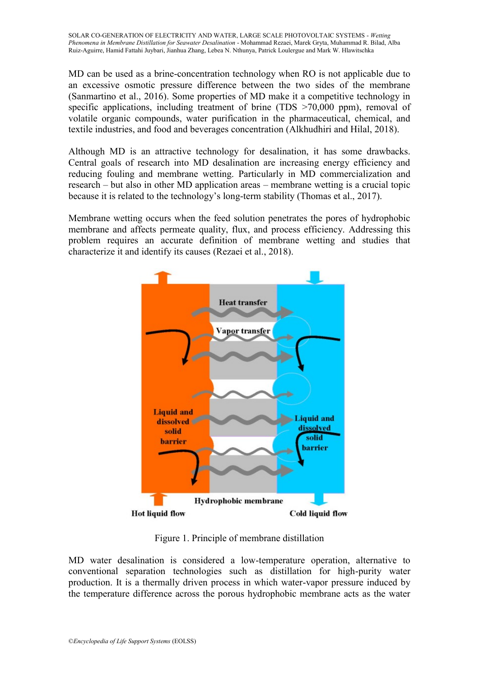MD can be used as a brine-concentration technology when RO is not applicable due to an excessive osmotic pressure difference between the two sides of the membrane (Sanmartino et al., 2016). Some properties of MD make it a competitive technology in specific applications, including treatment of brine (TDS >70,000 ppm), removal of volatile organic compounds, water purification in the pharmaceutical, chemical, and textile industries, and food and beverages concentration (Alkhudhiri and Hilal, 2018).

Although MD is an attractive technology for desalination, it has some drawbacks. Central goals of research into MD desalination are increasing energy efficiency and reducing fouling and membrane wetting. Particularly in MD commercialization and research – but also in other MD application areas – membrane wetting is a crucial topic because it is related to the technology's long-term stability (Thomas et al., 2017).

Membrane wetting occurs when the feed solution penetrates the pores of hydrophobic membrane and affects permeate quality, flux, and process efficiency. Addressing this problem requires an accurate definition of membrane wetting and studies that characterize it and identify its causes (Rezaei et al., 2018).



Figure 1. Principle of membrane distillation

MD water desalination is considered a low-temperature operation, alternative to conventional separation technologies such as distillation for high-purity water production. It is a thermally driven process in which water-vapor pressure induced by the temperature difference across the porous hydrophobic membrane acts as the water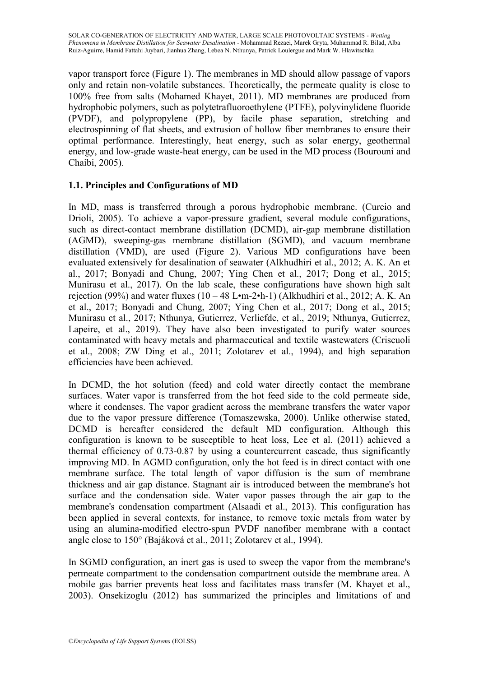vapor transport force (Figure 1). The membranes in MD should allow passage of vapors only and retain non-volatile substances. Theoretically, the permeate quality is close to 100% free from salts (Mohamed Khayet, 2011). MD membranes are produced from hydrophobic polymers, such as polytetrafluoroethylene (PTFE), polyvinylidene fluoride (PVDF), and polypropylene (PP), by facile phase separation, stretching and electrospinning of flat sheets, and extrusion of hollow fiber membranes to ensure their optimal performance. Interestingly, heat energy, such as solar energy, geothermal energy, and low-grade waste-heat energy, can be used in the MD process (Bourouni and Chaibi, 2005).

# **1.1. Principles and Configurations of MD**

In MD, mass is transferred through a porous hydrophobic membrane. (Curcio and Drioli, 2005). To achieve a vapor-pressure gradient, several module configurations, such as direct-contact membrane distillation (DCMD), air-gap membrane distillation (AGMD), sweeping-gas membrane distillation (SGMD), and vacuum membrane distillation (VMD), are used (Figure 2). Various MD configurations have been evaluated extensively for desalination of seawater (Alkhudhiri et al., 2012; A. K. An et al., 2017; Bonyadi and Chung, 2007; Ying Chen et al., 2017; Dong et al., 2015; Munirasu et al., 2017). On the lab scale, these configurations have shown high salt rejection (99%) and water fluxes  $(10 - 48 \text{ L} \cdot \text{m} - 2 \cdot \text{h} - 1)$  (Alkhudhiri et al., 2012; A. K. An et al., 2017; Bonyadi and Chung, 2007; Ying Chen et al., 2017; Dong et al., 2015; Munirasu et al., 2017; Nthunya, Gutierrez, Verliefde, et al., 2019; Nthunya, Gutierrez, Lapeire, et al., 2019). They have also been investigated to purify water sources contaminated with heavy metals and pharmaceutical and textile wastewaters (Criscuoli et al., 2008; ZW Ding et al., 2011; Zolotarev et al., 1994), and high separation efficiencies have been achieved.

In DCMD, the hot solution (feed) and cold water directly contact the membrane surfaces. Water vapor is transferred from the hot feed side to the cold permeate side, where it condenses. The vapor gradient across the membrane transfers the water vapor due to the vapor pressure difference (Tomaszewska, 2000). Unlike otherwise stated, DCMD is hereafter considered the default MD configuration. Although this configuration is known to be susceptible to heat loss, Lee et al. (2011) achieved a thermal efficiency of 0.73-0.87 by using a countercurrent cascade, thus significantly improving MD. In AGMD configuration, only the hot feed is in direct contact with one membrane surface. The total length of vapor diffusion is the sum of membrane thickness and air gap distance. Stagnant air is introduced between the membrane's hot surface and the condensation side. Water vapor passes through the air gap to the membrane's condensation compartment (Alsaadi et al., 2013). This configuration has been applied in several contexts, for instance, to remove toxic metals from water by using an alumina-modified electro-spun PVDF nanofiber membrane with a contact angle close to 150° (Bajáková et al., 2011; Zolotarev et al., 1994).

In SGMD configuration, an inert gas is used to sweep the vapor from the membrane's permeate compartment to the condensation compartment outside the membrane area. A mobile gas barrier prevents heat loss and facilitates mass transfer (M. Khayet et al., 2003). Onsekizoglu (2012) has summarized the principles and limitations of and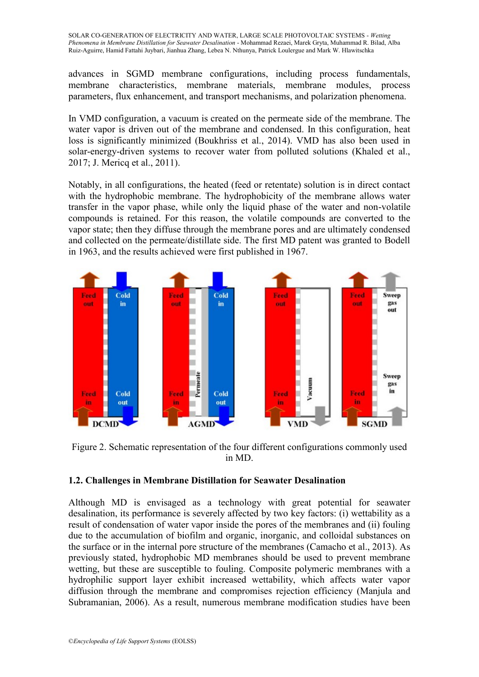advances in SGMD membrane configurations, including process fundamentals, membrane characteristics, membrane materials, membrane modules, process parameters, flux enhancement, and transport mechanisms, and polarization phenomena.

In VMD configuration, a vacuum is created on the permeate side of the membrane. The water vapor is driven out of the membrane and condensed. In this configuration, heat loss is significantly minimized (Boukhriss et al., 2014). VMD has also been used in solar-energy-driven systems to recover water from polluted solutions (Khaled et al., 2017; J. Mericq et al., 2011).

Notably, in all configurations, the heated (feed or retentate) solution is in direct contact with the hydrophobic membrane. The hydrophobicity of the membrane allows water transfer in the vapor phase, while only the liquid phase of the water and non-volatile compounds is retained. For this reason, the volatile compounds are converted to the vapor state; then they diffuse through the membrane pores and are ultimately condensed and collected on the permeate/distillate side. The first MD patent was granted to Bodell in 1963, and the results achieved were first published in 1967.



Figure 2. Schematic representation of the four different configurations commonly used in MD.

## **1.2. Challenges in Membrane Distillation for Seawater Desalination**

Although MD is envisaged as a technology with great potential for seawater desalination, its performance is severely affected by two key factors: (i) wettability as a result of condensation of water vapor inside the pores of the membranes and (ii) fouling due to the accumulation of biofilm and organic, inorganic, and colloidal substances on the surface or in the internal pore structure of the membranes (Camacho et al., 2013). As previously stated, hydrophobic MD membranes should be used to prevent membrane wetting, but these are susceptible to fouling. Composite polymeric membranes with a hydrophilic support layer exhibit increased wettability, which affects water vapor diffusion through the membrane and compromises rejection efficiency (Manjula and Subramanian, 2006). As a result, numerous membrane modification studies have been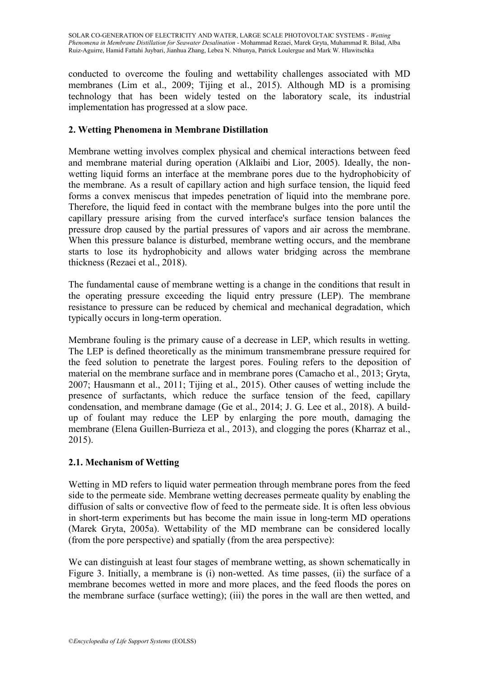conducted to overcome the fouling and wettability challenges associated with MD membranes (Lim et al., 2009; Tijing et al., 2015). Although MD is a promising technology that has been widely tested on the laboratory scale, its industrial implementation has progressed at a slow pace.

# **2. Wetting Phenomena in Membrane Distillation**

Membrane wetting involves complex physical and chemical interactions between feed and membrane material during operation (Alklaibi and Lior, 2005). Ideally, the nonwetting liquid forms an interface at the membrane pores due to the hydrophobicity of the membrane. As a result of capillary action and high surface tension, the liquid feed forms a convex meniscus that impedes penetration of liquid into the membrane pore. Therefore, the liquid feed in contact with the membrane bulges into the pore until the capillary pressure arising from the curved interface's surface tension balances the pressure drop caused by the partial pressures of vapors and air across the membrane. When this pressure balance is disturbed, membrane wetting occurs, and the membrane starts to lose its hydrophobicity and allows water bridging across the membrane thickness (Rezaei et al., 2018).

The fundamental cause of membrane wetting is a change in the conditions that result in the operating pressure exceeding the liquid entry pressure (LEP). The membrane resistance to pressure can be reduced by chemical and mechanical degradation, which typically occurs in long-term operation.

Membrane fouling is the primary cause of a decrease in LEP, which results in wetting. The LEP is defined theoretically as the minimum transmembrane pressure required for the feed solution to penetrate the largest pores. Fouling refers to the deposition of material on the membrane surface and in membrane pores (Camacho et al., 2013; Gryta, 2007; Hausmann et al., 2011; Tijing et al., 2015). Other causes of wetting include the presence of surfactants, which reduce the surface tension of the feed, capillary condensation, and membrane damage (Ge et al., 2014; J. G. Lee et al., 2018). A buildup of foulant may reduce the LEP by enlarging the pore mouth, damaging the membrane (Elena Guillen-Burrieza et al., 2013), and clogging the pores (Kharraz et al., 2015).

# **2.1. Mechanism of Wetting**

Wetting in MD refers to liquid water permeation through membrane pores from the feed side to the permeate side. Membrane wetting decreases permeate quality by enabling the diffusion of salts or convective flow of feed to the permeate side. It is often less obvious in short-term experiments but has become the main issue in long-term MD operations (Marek Gryta, 2005a). Wettability of the MD membrane can be considered locally (from the pore perspective) and spatially (from the area perspective):

We can distinguish at least four stages of membrane wetting, as shown schematically in Figure 3. Initially, a membrane is (i) non-wetted. As time passes, (ii) the surface of a membrane becomes wetted in more and more places, and the feed floods the pores on the membrane surface (surface wetting); (iii) the pores in the wall are then wetted, and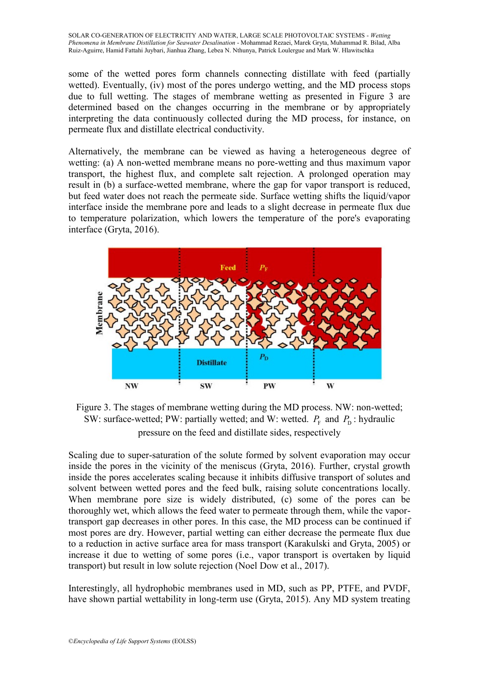some of the wetted pores form channels connecting distillate with feed (partially wetted). Eventually, (iv) most of the pores undergo wetting, and the MD process stops due to full wetting. The stages of membrane wetting as presented in Figure 3 are determined based on the changes occurring in the membrane or by appropriately interpreting the data continuously collected during the MD process, for instance, on permeate flux and distillate electrical conductivity.

Alternatively, the membrane can be viewed as having a heterogeneous degree of wetting: (a) A non-wetted membrane means no pore-wetting and thus maximum vapor transport, the highest flux, and complete salt rejection. A prolonged operation may result in (b) a surface-wetted membrane, where the gap for vapor transport is reduced, but feed water does not reach the permeate side. Surface wetting shifts the liquid/vapor interface inside the membrane pore and leads to a slight decrease in permeate flux due to temperature polarization, which lowers the temperature of the pore's evaporating interface (Gryta, 2016).



Figure 3. The stages of membrane wetting during the MD process. NW: non-wetted; SW: surface-wetted; PW: partially wetted; and W: wetted.  $P_F$  and  $P_D$ : hydraulic pressure on the feed and distillate sides, respectively

Scaling due to super-saturation of the solute formed by solvent evaporation may occur inside the pores in the vicinity of the meniscus (Gryta, 2016). Further, crystal growth inside the pores accelerates scaling because it inhibits diffusive transport of solutes and solvent between wetted pores and the feed bulk, raising solute concentrations locally. When membrane pore size is widely distributed, (c) some of the pores can be thoroughly wet, which allows the feed water to permeate through them, while the vaportransport gap decreases in other pores. In this case, the MD process can be continued if most pores are dry. However, partial wetting can either decrease the permeate flux due to a reduction in active surface area for mass transport (Karakulski and Gryta, 2005) or increase it due to wetting of some pores (i.e., vapor transport is overtaken by liquid transport) but result in low solute rejection (Noel Dow et al., 2017).

Interestingly, all hydrophobic membranes used in MD, such as PP, PTFE, and PVDF, have shown partial wettability in long-term use (Gryta, 2015). Any MD system treating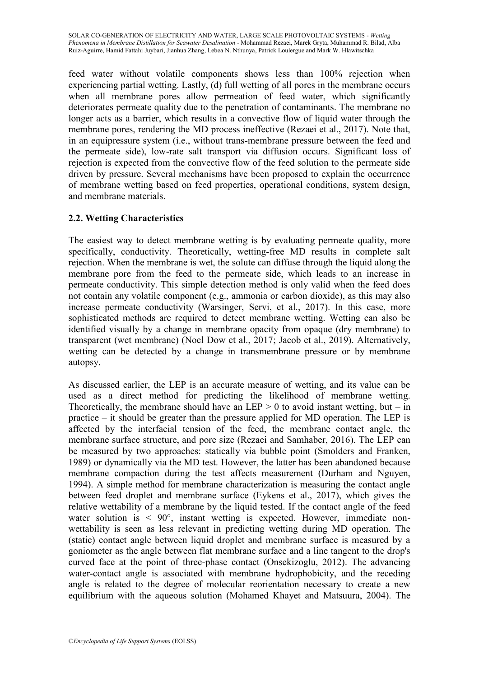feed water without volatile components shows less than 100% rejection when experiencing partial wetting. Lastly, (d) full wetting of all pores in the membrane occurs when all membrane pores allow permeation of feed water, which significantly deteriorates permeate quality due to the penetration of contaminants. The membrane no longer acts as a barrier, which results in a convective flow of liquid water through the membrane pores, rendering the MD process ineffective (Rezaei et al., 2017). Note that, in an equipressure system (i.e., without trans-membrane pressure between the feed and the permeate side), low-rate salt transport via diffusion occurs. Significant loss of rejection is expected from the convective flow of the feed solution to the permeate side driven by pressure. Several mechanisms have been proposed to explain the occurrence of membrane wetting based on feed properties, operational conditions, system design, and membrane materials.

# **2.2. Wetting Characteristics**

The easiest way to detect membrane wetting is by evaluating permeate quality, more specifically, conductivity. Theoretically, wetting-free MD results in complete salt rejection. When the membrane is wet, the solute can diffuse through the liquid along the membrane pore from the feed to the permeate side, which leads to an increase in permeate conductivity. This simple detection method is only valid when the feed does not contain any volatile component (e.g., ammonia or carbon dioxide), as this may also increase permeate conductivity (Warsinger, Servi, et al., 2017). In this case, more sophisticated methods are required to detect membrane wetting. Wetting can also be identified visually by a change in membrane opacity from opaque (dry membrane) to transparent (wet membrane) (Noel Dow et al., 2017; Jacob et al., 2019). Alternatively, wetting can be detected by a change in transmembrane pressure or by membrane autopsy.

As discussed earlier, the LEP is an accurate measure of wetting, and its value can be used as a direct method for predicting the likelihood of membrane wetting. Theoretically, the membrane should have an LEP  $> 0$  to avoid instant wetting, but – in practice – it should be greater than the pressure applied for MD operation. The LEP is affected by the interfacial tension of the feed, the membrane contact angle, the membrane surface structure, and pore size (Rezaei and Samhaber, 2016). The LEP can be measured by two approaches: statically via bubble point (Smolders and Franken, 1989) or dynamically via the MD test. However, the latter has been abandoned because membrane compaction during the test affects measurement (Durham and Nguyen, 1994). A simple method for membrane characterization is measuring the contact angle between feed droplet and membrane surface (Eykens et al., 2017), which gives the relative wettability of a membrane by the liquid tested. If the contact angle of the feed water solution is  $\leq 90^{\circ}$ , instant wetting is expected. However, immediate nonwettability is seen as less relevant in predicting wetting during MD operation. The (static) contact angle between liquid droplet and membrane surface is measured by a goniometer as the angle between flat membrane surface and a line tangent to the drop's curved face at the point of three-phase contact (Onsekizoglu, 2012). The advancing water-contact angle is associated with membrane hydrophobicity, and the receding angle is related to the degree of molecular reorientation necessary to create a new equilibrium with the aqueous solution (Mohamed Khayet and Matsuura, 2004). The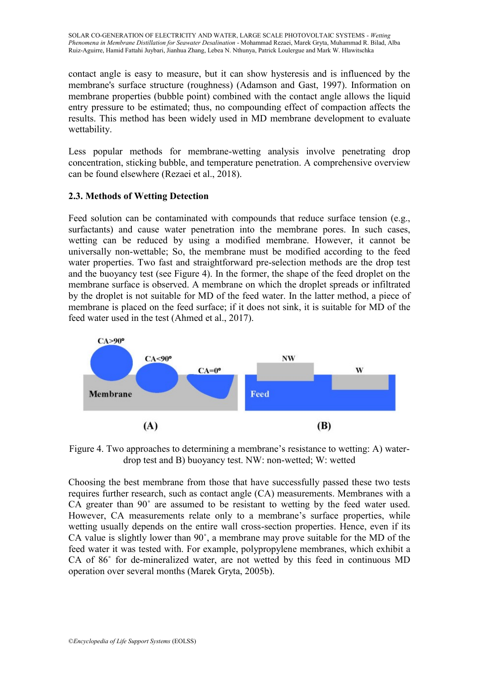contact angle is easy to measure, but it can show hysteresis and is influenced by the membrane's surface structure (roughness) (Adamson and Gast, 1997). Information on membrane properties (bubble point) combined with the contact angle allows the liquid entry pressure to be estimated; thus, no compounding effect of compaction affects the results. This method has been widely used in MD membrane development to evaluate wettability.

Less popular methods for membrane-wetting analysis involve penetrating drop concentration, sticking bubble, and temperature penetration. A comprehensive overview can be found elsewhere (Rezaei et al., 2018).

# **2.3. Methods of Wetting Detection**

Feed solution can be contaminated with compounds that reduce surface tension (e.g., surfactants) and cause water penetration into the membrane pores. In such cases, wetting can be reduced by using a modified membrane. However, it cannot be universally non-wettable; So, the membrane must be modified according to the feed water properties. Two fast and straightforward pre-selection methods are the drop test and the buoyancy test (see Figure 4). In the former, the shape of the feed droplet on the membrane surface is observed. A membrane on which the droplet spreads or infiltrated by the droplet is not suitable for MD of the feed water. In the latter method, a piece of membrane is placed on the feed surface; if it does not sink, it is suitable for MD of the feed water used in the test (Ahmed et al., 2017).



Figure 4. Two approaches to determining a membrane's resistance to wetting: A) waterdrop test and B) buoyancy test. NW: non-wetted; W: wetted

Choosing the best membrane from those that have successfully passed these two tests requires further research, such as contact angle (CA) measurements. Membranes with a CA greater than 90˚ are assumed to be resistant to wetting by the feed water used. However, CA measurements relate only to a membrane's surface properties, while wetting usually depends on the entire wall cross-section properties. Hence, even if its CA value is slightly lower than 90˚, a membrane may prove suitable for the MD of the feed water it was tested with. For example, polypropylene membranes, which exhibit a CA of 86˚ for de-mineralized water, are not wetted by this feed in continuous MD operation over several months (Marek Gryta, 2005b).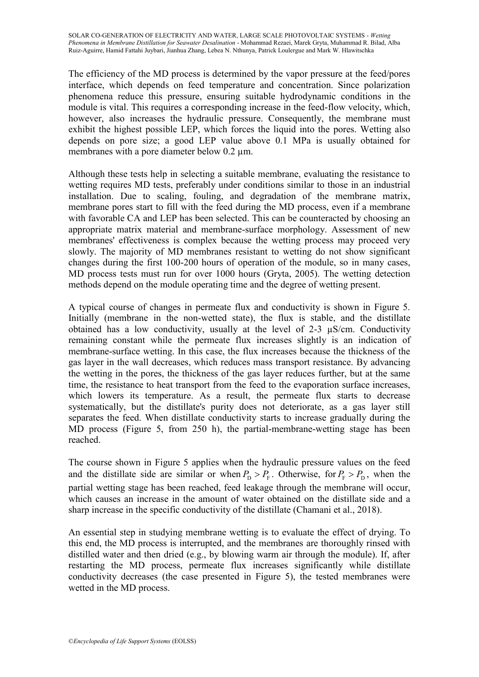The efficiency of the MD process is determined by the vapor pressure at the feed/pores interface, which depends on feed temperature and concentration. Since polarization phenomena reduce this pressure, ensuring suitable hydrodynamic conditions in the module is vital. This requires a corresponding increase in the feed-flow velocity, which, however, also increases the hydraulic pressure. Consequently, the membrane must exhibit the highest possible LEP, which forces the liquid into the pores. Wetting also depends on pore size; a good LEP value above 0.1 MPa is usually obtained for membranes with a pore diameter below 0.2  $\mu$ m.

Although these tests help in selecting a suitable membrane, evaluating the resistance to wetting requires MD tests, preferably under conditions similar to those in an industrial installation. Due to scaling, fouling, and degradation of the membrane matrix, membrane pores start to fill with the feed during the MD process, even if a membrane with favorable CA and LEP has been selected. This can be counteracted by choosing an appropriate matrix material and membrane-surface morphology. Assessment of new membranes' effectiveness is complex because the wetting process may proceed very slowly. The majority of MD membranes resistant to wetting do not show significant changes during the first 100-200 hours of operation of the module, so in many cases, MD process tests must run for over 1000 hours (Gryta, 2005). The wetting detection methods depend on the module operating time and the degree of wetting present.

A typical course of changes in permeate flux and conductivity is shown in Figure 5. Initially (membrane in the non-wetted state), the flux is stable, and the distillate obtained has a low conductivity, usually at the level of 2-3 µS/cm. Conductivity remaining constant while the permeate flux increases slightly is an indication of membrane-surface wetting. In this case, the flux increases because the thickness of the gas layer in the wall decreases, which reduces mass transport resistance. By advancing the wetting in the pores, the thickness of the gas layer reduces further, but at the same time, the resistance to heat transport from the feed to the evaporation surface increases, which lowers its temperature. As a result, the permeate flux starts to decrease systematically, but the distillate's purity does not deteriorate, as a gas layer still separates the feed. When distillate conductivity starts to increase gradually during the MD process (Figure 5, from 250 h), the partial-membrane-wetting stage has been reached.

The course shown in Figure 5 applies when the hydraulic pressure values on the feed and the distillate side are similar or when  $P_{\rm p} > P_{\rm F}$ . Otherwise, for  $P_{\rm F} > P_{\rm D}$ , when the partial wetting stage has been reached, feed leakage through the membrane will occur, which causes an increase in the amount of water obtained on the distillate side and a sharp increase in the specific conductivity of the distillate (Chamani et al., 2018).

An essential step in studying membrane wetting is to evaluate the effect of drying. To this end, the MD process is interrupted, and the membranes are thoroughly rinsed with distilled water and then dried (e.g., by blowing warm air through the module). If, after restarting the MD process, permeate flux increases significantly while distillate conductivity decreases (the case presented in Figure 5), the tested membranes were wetted in the MD process.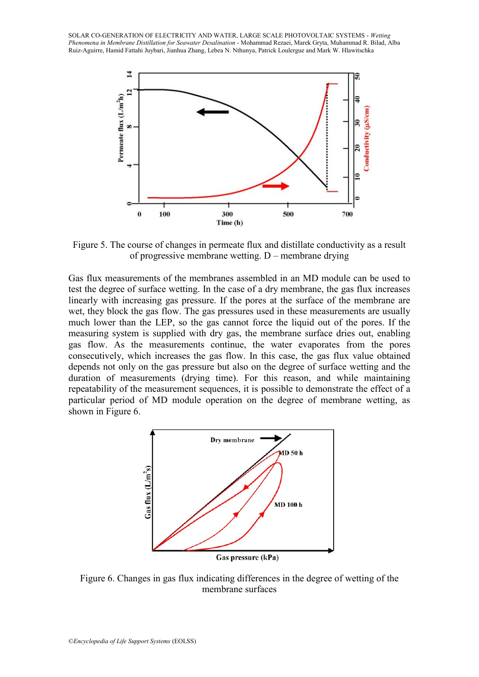

Figure 5. The course of changes in permeate flux and distillate conductivity as a result of progressive membrane wetting. D – membrane drying

Gas flux measurements of the membranes assembled in an MD module can be used to test the degree of surface wetting. In the case of a dry membrane, the gas flux increases linearly with increasing gas pressure. If the pores at the surface of the membrane are wet, they block the gas flow. The gas pressures used in these measurements are usually much lower than the LEP, so the gas cannot force the liquid out of the pores. If the measuring system is supplied with dry gas, the membrane surface dries out, enabling gas flow. As the measurements continue, the water evaporates from the pores consecutively, which increases the gas flow. In this case, the gas flux value obtained depends not only on the gas pressure but also on the degree of surface wetting and the duration of measurements (drying time). For this reason, and while maintaining repeatability of the measurement sequences, it is possible to demonstrate the effect of a particular period of MD module operation on the degree of membrane wetting, as shown in Figure 6.



Gas pressure (kPa)

Figure 6. Changes in gas flux indicating differences in the degree of wetting of the membrane surfaces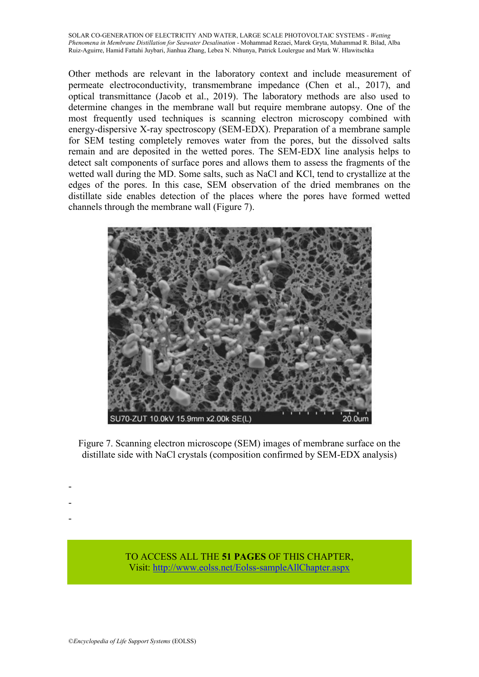Other methods are relevant in the laboratory context and include measurement of permeate electroconductivity, transmembrane impedance (Chen et al., 2017), and optical transmittance (Jacob et al., 2019). The laboratory methods are also used to determine changes in the membrane wall but require membrane autopsy. One of the most frequently used techniques is scanning electron microscopy combined with energy-dispersive X-ray spectroscopy (SEM-EDX). Preparation of a membrane sample for SEM testing completely removes water from the pores, but the dissolved salts remain and are deposited in the wetted pores. The SEM-EDX line analysis helps to detect salt components of surface pores and allows them to assess the fragments of the wetted wall during the MD. Some salts, such as NaCl and KCl, tend to crystallize at the edges of the pores. In this case, SEM observation of the dried membranes on the distillate side enables detection of the places where the pores have formed wetted channels through the membrane wall (Figure 7).



Figure 7. Scanning electron microscope (SEM) images of membrane surface on the distillate side with NaCl crystals (composition confirmed by SEM-EDX analysis)

> TO ACCESS ALL THE **51 PAGES** OF THIS CHAPTER, Vis[it: http://www.eolss.net/Eolss-sampleAllChapter.aspx](https://www.eolss.net/ebooklib/sc_cart.aspx?File=E6-107-29)

- - -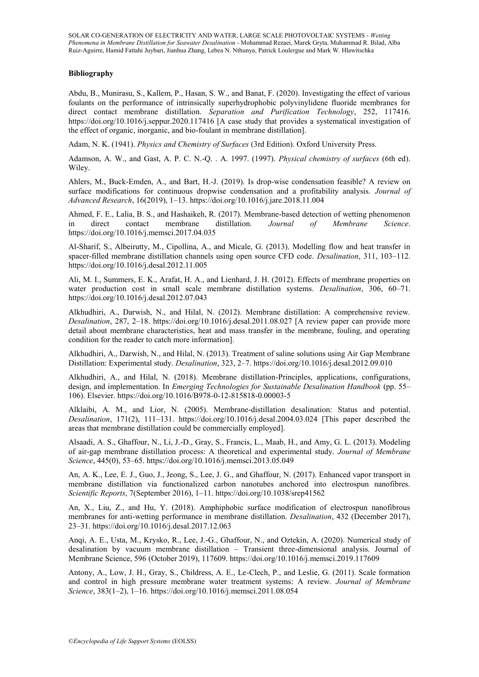#### **Bibliography**

Abdu, B., Munirasu, S., Kallem, P., Hasan, S. W., and Banat, F. (2020). Investigating the effect of various foulants on the performance of intrinsically superhydrophobic polyvinylidene fluoride membranes for direct contact membrane distillation. *Separation and Purification Technology*, 252, 117416. https://doi.org/10.1016/j.seppur.2020.117416 [A case study that provides a systematical investigation of the effect of organic, inorganic, and bio-foulant in membrane distillation].

Adam, N. K. (1941). *Physics and Chemistry of Surfaces* (3rd Edition). Oxford University Press.

Adamson, A. W., and Gast, A. P. C. N.-Q. . A. 1997. (1997). *Physical chemistry of surfaces* (6th ed). Wiley.

Ahlers, M., Buck-Emden, A., and Bart, H.-J. (2019). Is drop-wise condensation feasible? A review on surface modifications for continuous dropwise condensation and a profitability analysis. *Journal of Advanced Research*, 16(2019), 1–13. https://doi.org/10.1016/j.jare.2018.11.004

Ahmed, F. E., Lalia, B. S., and Hashaikeh, R. (2017). Membrane-based detection of wetting phenomenon in direct contact membrane distillation. *Journal of Membrane Science*. in direct contact membrane distillation. *Journal of Membrane Science*. https://doi.org/10.1016/j.memsci.2017.04.035

Al-Sharif, S., Albeirutty, M., Cipollina, A., and Micale, G. (2013). Modelling flow and heat transfer in spacer-filled membrane distillation channels using open source CFD code. *Desalination*, 311, 103–112. https://doi.org/10.1016/j.desal.2012.11.005

Ali, M. I., Summers, E. K., Arafat, H. A., and Lienhard, J. H. (2012). Effects of membrane properties on water production cost in small scale membrane distillation systems. *Desalination*, 306, 60–71. https://doi.org/10.1016/j.desal.2012.07.043

Alkhudhiri, A., Darwish, N., and Hilal, N. (2012). Membrane distillation: A comprehensive review. *Desalination*, 287, 2–18. https://doi.org/10.1016/j.desal.2011.08.027 [A review paper can provide more detail about membrane characteristics, heat and mass transfer in the membrane, fouling, and operating condition for the reader to catch more information].

Alkhudhiri, A., Darwish, N., and Hilal, N. (2013). Treatment of saline solutions using Air Gap Membrane Distillation: Experimental study. *Desalination*, 323, 2–7. https://doi.org/10.1016/j.desal.2012.09.010

Alkhudhiri, A., and Hilal, N. (2018). Membrane distillation-Principles, applications, configurations, design, and implementation. In *Emerging Technologies for Sustainable Desalination Handbook* (pp. 55– 106). Elsevier. https://doi.org/10.1016/B978-0-12-815818-0.00003-5

Alklaibi, A. M., and Lior, N. (2005). Membrane-distillation desalination: Status and potential. *Desalination*, 171(2), 111–131. https://doi.org/10.1016/j.desal.2004.03.024 [This paper described the areas that membrane distillation could be commercially employed].

Alsaadi, A. S., Ghaffour, N., Li, J.-D., Gray, S., Francis, L., Maab, H., and Amy, G. L. (2013). Modeling of air-gap membrane distillation process: A theoretical and experimental study. *Journal of Membrane Science*, 445(0), 53–65. https://doi.org/10.1016/j.memsci.2013.05.049

An, A. K., Lee, E. J., Guo, J., Jeong, S., Lee, J. G., and Ghaffour, N. (2017). Enhanced vapor transport in membrane distillation via functionalized carbon nanotubes anchored into electrospun nanofibres. *Scientific Reports*, 7(September 2016), 1–11. https://doi.org/10.1038/srep41562

An, X., Liu, Z., and Hu, Y. (2018). Amphiphobic surface modification of electrospun nanofibrous membranes for anti-wetting performance in membrane distillation. *Desalination*, 432 (December 2017), 23–31. https://doi.org/10.1016/j.desal.2017.12.063

Anqi, A. E., Usta, M., Krysko, R., Lee, J.-G., Ghaffour, N., and Oztekin, A. (2020). Numerical study of desalination by vacuum membrane distillation – Transient three-dimensional analysis. Journal of Membrane Science, 596 (October 2019), 117609. https://doi.org/10.1016/j.memsci.2019.117609

Antony, A., Low, J. H., Gray, S., Childress, A. E., Le-Clech, P., and Leslie, G. (2011). Scale formation and control in high pressure membrane water treatment systems: A review. *Journal of Membrane Science*, 383(1–2), 1–16. https://doi.org/10.1016/j.memsci.2011.08.054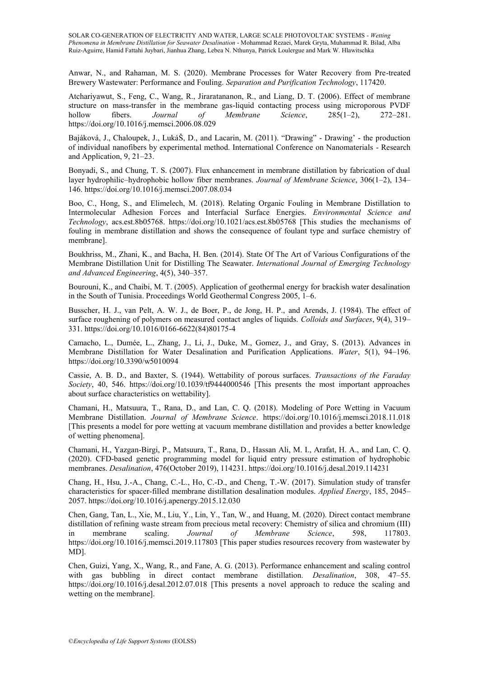Anwar, N., and Rahaman, M. S. (2020). Membrane Processes for Water Recovery from Pre-treated Brewery Wastewater: Performance and Fouling. *Separation and Purification Technology*, 117420.

Atchariyawut, S., Feng, C., Wang, R., Jiraratananon, R., and Liang, D. T. (2006). Effect of membrane structure on mass-transfer in the membrane gas-liquid contacting process using microporous PVDF<br>hollow fibers. Journal of Membrane Science, 285(1–2), 272–281. hollow fibers. *Journal of Membrane Science*, 285(1–2), 272–281. https://doi.org/10.1016/j.memsci.2006.08.029

Bajáková, J., Chaloupek, J., LukáŠ, D., and Lacarin, M. (2011). "Drawing" - Drawing' - the production of individual nanofibers by experimental method. International Conference on Nanomaterials - Research and Application, 9, 21–23.

Bonyadi, S., and Chung, T. S. (2007). Flux enhancement in membrane distillation by fabrication of dual layer hydrophilic–hydrophobic hollow fiber membranes. *Journal of Membrane Science*, 306(1–2), 134– 146. https://doi.org/10.1016/j.memsci.2007.08.034

Boo, C., Hong, S., and Elimelech, M. (2018). Relating Organic Fouling in Membrane Distillation to Intermolecular Adhesion Forces and Interfacial Surface Energies. *Environmental Science and Technology*, acs.est.8b05768. https://doi.org/10.1021/acs.est.8b05768 [This studies the mechanisms of fouling in membrane distillation and shows the consequence of foulant type and surface chemistry of membrane].

Boukhriss, M., Zhani, K., and Bacha, H. Ben. (2014). State Of The Art of Various Configurations of the Membrane Distillation Unit for Distilling The Seawater. *International Journal of Emerging Technology and Advanced Engineering*, 4(5), 340–357.

Bourouni, K., and Chaibi, M. T. (2005). Application of geothermal energy for brackish water desalination in the South of Tunisia. Proceedings World Geothermal Congress 2005, 1–6.

Busscher, H. J., van Pelt, A. W. J., de Boer, P., de Jong, H. P., and Arends, J. (1984). The effect of surface roughening of polymers on measured contact angles of liquids. *Colloids and Surfaces*, 9(4), 319– 331. https://doi.org/10.1016/0166-6622(84)80175-4

Camacho, L., Dumée, L., Zhang, J., Li, J., Duke, M., Gomez, J., and Gray, S. (2013). Advances in Membrane Distillation for Water Desalination and Purification Applications. *Water*, 5(1), 94–196. https://doi.org/10.3390/w5010094

Cassie, A. B. D., and Baxter, S. (1944). Wettability of porous surfaces. *Transactions of the Faraday Society*, 40, 546. https://doi.org/10.1039/tf9444000546 [This presents the most important approaches about surface characteristics on wettability].

Chamani, H., Matsuura, T., Rana, D., and Lan, C. Q. (2018). Modeling of Pore Wetting in Vacuum Membrane Distillation. *Journal of Membrane Science*. https://doi.org/10.1016/j.memsci.2018.11.018 [This presents a model for pore wetting at vacuum membrane distillation and provides a better knowledge of wetting phenomena].

Chamani, H., Yazgan-Birgi, P., Matsuura, T., Rana, D., Hassan Ali, M. I., Arafat, H. A., and Lan, C. Q. (2020). CFD-based genetic programming model for liquid entry pressure estimation of hydrophobic membranes. *Desalination*, 476(October 2019), 114231. https://doi.org/10.1016/j.desal.2019.114231

Chang, H., Hsu, J.-A., Chang, C.-L., Ho, C.-D., and Cheng, T.-W. (2017). Simulation study of transfer characteristics for spacer-filled membrane distillation desalination modules. *Applied Energy*, 185, 2045– 2057. https://doi.org/10.1016/j.apenergy.2015.12.030

Chen, Gang, Tan, L., Xie, M., Liu, Y., Lin, Y., Tan, W., and Huang, M. (2020). Direct contact membrane distillation of refining waste stream from precious metal recovery: Chemistry of silica and chromium (III) in membrane scaling. *Journal of Membrane Science*, 598, 117803. https://doi.org/10.1016/j.memsci.2019.117803 [This paper studies resources recovery from wastewater by MD].

Chen, Guizi, Yang, X., Wang, R., and Fane, A. G. (2013). Performance enhancement and scaling control with gas bubbling in direct contact membrane distillation. *Desalination*, 308, 47–55. https://doi.org/10.1016/j.desal.2012.07.018 [This presents a novel approach to reduce the scaling and wetting on the membrane].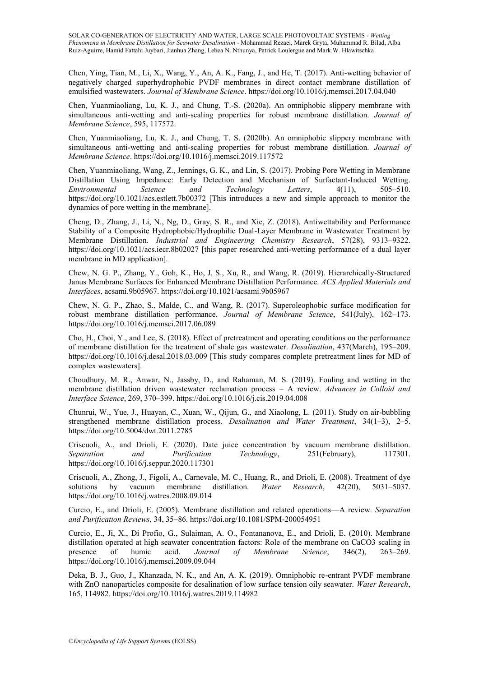Chen, Ying, Tian, M., Li, X., Wang, Y., An, A. K., Fang, J., and He, T. (2017). Anti-wetting behavior of negatively charged superhydrophobic PVDF membranes in direct contact membrane distillation of emulsified wastewaters. *Journal of Membrane Science*. https://doi.org/10.1016/j.memsci.2017.04.040

Chen, Yuanmiaoliang, Lu, K. J., and Chung, T.-S. (2020a). An omniphobic slippery membrane with simultaneous anti-wetting and anti-scaling properties for robust membrane distillation. *Journal of Membrane Science*, 595, 117572.

Chen, Yuanmiaoliang, Lu, K. J., and Chung, T. S. (2020b). An omniphobic slippery membrane with simultaneous anti-wetting and anti-scaling properties for robust membrane distillation. *Journal of Membrane Science*. https://doi.org/10.1016/j.memsci.2019.117572

Chen, Yuanmiaoliang, Wang, Z., Jennings, G. K., and Lin, S. (2017). Probing Pore Wetting in Membrane Distillation Using Impedance: Early Detection and Mechanism of Surfactant-Induced Wetting. *Environmental Science and Technology Letters*, 4(11), 505–510. https://doi.org/10.1021/acs.estlett.7b00372 [This introduces a new and simple approach to monitor the dynamics of pore wetting in the membrane].

Cheng, D., Zhang, J., Li, N., Ng, D., Gray, S. R., and Xie, Z. (2018). Antiwettability and Performance Stability of a Composite Hydrophobic/Hydrophilic Dual-Layer Membrane in Wastewater Treatment by Membrane Distillation. *Industrial and Engineering Chemistry Research*, 57(28), 9313–9322. https://doi.org/10.1021/acs.iecr.8b02027 [this paper researched anti-wetting performance of a dual layer membrane in MD application].

Chew, N. G. P., Zhang, Y., Goh, K., Ho, J. S., Xu, R., and Wang, R. (2019). Hierarchically-Structured Janus Membrane Surfaces for Enhanced Membrane Distillation Performance. *ACS Applied Materials and Interfaces*, acsami.9b05967. https://doi.org/10.1021/acsami.9b05967

Chew, N. G. P., Zhao, S., Malde, C., and Wang, R. (2017). Superoleophobic surface modification for robust membrane distillation performance. *Journal of Membrane Science*, 541(July), 162–173. https://doi.org/10.1016/j.memsci.2017.06.089

Cho, H., Choi, Y., and Lee, S. (2018). Effect of pretreatment and operating conditions on the performance of membrane distillation for the treatment of shale gas wastewater. *Desalination*, 437(March), 195–209. https://doi.org/10.1016/j.desal.2018.03.009 [This study compares complete pretreatment lines for MD of complex wastewaters].

Choudhury, M. R., Anwar, N., Jassby, D., and Rahaman, M. S. (2019). Fouling and wetting in the membrane distillation driven wastewater reclamation process – A review. *Advances in Colloid and Interface Science*, 269, 370–399. https://doi.org/10.1016/j.cis.2019.04.008

Chunrui, W., Yue, J., Huayan, C., Xuan, W., Qijun, G., and Xiaolong, L. (2011). Study on air-bubbling strengthened membrane distillation process. *Desalination and Water Treatment*, 34(1–3), 2–5. https://doi.org/10.5004/dwt.2011.2785

Criscuoli, A., and Drioli, E. (2020). Date juice concentration by vacuum membrane distillation.<br>Separation and Purification Technology, 251(February), 117301. *Separation and Purification Technology*, 251(February), 117301. https://doi.org/10.1016/j.seppur.2020.117301

Criscuoli, A., Zhong, J., Figoli, A., Carnevale, M. C., Huang, R., and Drioli, E. (2008). Treatment of dye solutions by vacuum membrane distillation. *Water Research*, 42(20), 5031–5037. https://doi.org/10.1016/j.watres.2008.09.014

Curcio, E., and Drioli, E. (2005). Membrane distillation and related operations—A review. *Separation and Purification Reviews*, 34, 35–86. https://doi.org/10.1081/SPM-200054951

Curcio, E., Ji, X., Di Profio, G., Sulaiman, A. O., Fontananova, E., and Drioli, E. (2010). Membrane distillation operated at high seawater concentration factors: Role of the membrane on CaCO3 scaling in presence of humic acid. *Journal of Membrane Science*, 346(2), 263–269. https://doi.org/10.1016/j.memsci.2009.09.044

Deka, B. J., Guo, J., Khanzada, N. K., and An, A. K. (2019). Omniphobic re-entrant PVDF membrane with ZnO nanoparticles composite for desalination of low surface tension oily seawater. *Water Research*, 165, 114982. https://doi.org/10.1016/j.watres.2019.114982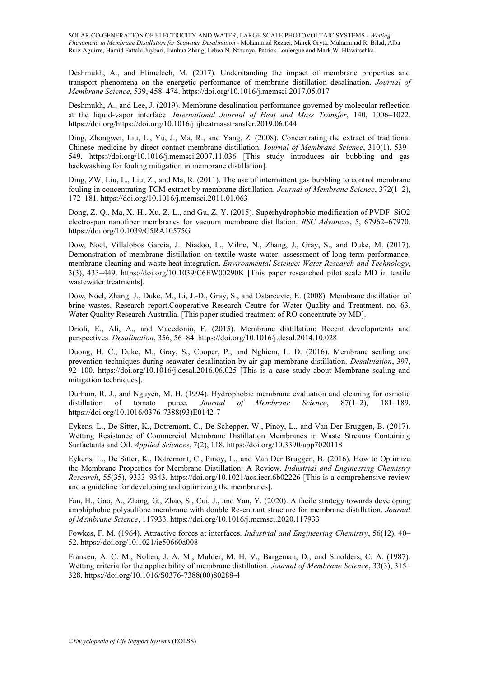Deshmukh, A., and Elimelech, M. (2017). Understanding the impact of membrane properties and transport phenomena on the energetic performance of membrane distillation desalination. *Journal of Membrane Science*, 539, 458–474. https://doi.org/10.1016/j.memsci.2017.05.017

Deshmukh, A., and Lee, J. (2019). Membrane desalination performance governed by molecular reflection at the liquid-vapor interface. *International Journal of Heat and Mass Transfer*, 140, 1006–1022. https://doi.org/https://doi.org/10.1016/j.ijheatmasstransfer.2019.06.044

Ding, Zhongwei, Liu, L., Yu, J., Ma, R., and Yang, Z. (2008). Concentrating the extract of traditional Chinese medicine by direct contact membrane distillation. J*ournal of Membrane Science*, 310(1), 539– 549. https://doi.org/10.1016/j.memsci.2007.11.036 [This study introduces air bubbling and gas backwashing for fouling mitigation in membrane distillation].

Ding, ZW, Liu, L., Liu, Z., and Ma, R. (2011). The use of intermittent gas bubbling to control membrane fouling in concentrating TCM extract by membrane distillation. *Journal of Membrane Science*, 372(1–2), 172–181. https://doi.org/10.1016/j.memsci.2011.01.063

Dong, Z.-Q., Ma, X.-H., Xu, Z.-L., and Gu, Z.-Y. (2015). Superhydrophobic modification of PVDF–SiO2 electrospun nanofiber membranes for vacuum membrane distillation. *RSC Advances*, 5, 67962–67970. https://doi.org/10.1039/C5RA10575G

Dow, Noel, Villalobos García, J., Niadoo, L., Milne, N., Zhang, J., Gray, S., and Duke, M. (2017). Demonstration of membrane distillation on textile waste water: assessment of long term performance, membrane cleaning and waste heat integration. *Environmental Science: Water Research and Technology*, 3(3), 433–449. https://doi.org/10.1039/C6EW00290K [This paper researched pilot scale MD in textile wastewater treatments].

Dow, Noel, Zhang, J., Duke, M., Li, J.-D., Gray, S., and Ostarcevic, E. (2008). Membrane distillation of brine wastes. Research report.Cooperative Research Centre for Water Quality and Treatment. no. 63. Water Quality Research Australia. [This paper studied treatment of RO concentrate by MD].

Drioli, E., Ali, A., and Macedonio, F. (2015). Membrane distillation: Recent developments and perspectives. *Desalination*, 356, 56–84. https://doi.org/10.1016/j.desal.2014.10.028

Duong, H. C., Duke, M., Gray, S., Cooper, P., and Nghiem, L. D. (2016). Membrane scaling and prevention techniques during seawater desalination by air gap membrane distillation. *Desalination*, 397, 92–100. https://doi.org/10.1016/j.desal.2016.06.025 [This is a case study about Membrane scaling and mitigation techniques].

Durham, R. J., and Nguyen, M. H. (1994). Hydrophobic membrane evaluation and cleaning for osmotic distillation of tomato puree. *Journal of Membrane Science*, 87(1–2), 181–189. https://doi.org/10.1016/0376-7388(93)E0142-7

Eykens, L., De Sitter, K., Dotremont, C., De Schepper, W., Pinoy, L., and Van Der Bruggen, B. (2017). Wetting Resistance of Commercial Membrane Distillation Membranes in Waste Streams Containing Surfactants and Oil. *Applied Sciences*, 7(2), 118. https://doi.org/10.3390/app7020118

Eykens, L., De Sitter, K., Dotremont, C., Pinoy, L., and Van Der Bruggen, B. (2016). How to Optimize the Membrane Properties for Membrane Distillation: A Review. *Industrial and Engineering Chemistry Research*, 55(35), 9333–9343. https://doi.org/10.1021/acs.iecr.6b02226 [This is a comprehensive review and a guideline for developing and optimizing the membranes].

Fan, H., Gao, A., Zhang, G., Zhao, S., Cui, J., and Yan, Y. (2020). A facile strategy towards developing amphiphobic polysulfone membrane with double Re-entrant structure for membrane distillation. *Journal of Membrane Science*, 117933. https://doi.org/10.1016/j.memsci.2020.117933

Fowkes, F. M. (1964). Attractive forces at interfaces. *Industrial and Engineering Chemistry*, 56(12), 40– 52. https://doi.org/10.1021/ie50660a008

Franken, A. C. M., Nolten, J. A. M., Mulder, M. H. V., Bargeman, D., and Smolders, C. A. (1987). Wetting criteria for the applicability of membrane distillation. *Journal of Membrane Science*, 33(3), 315– 328. https://doi.org/10.1016/S0376-7388(00)80288-4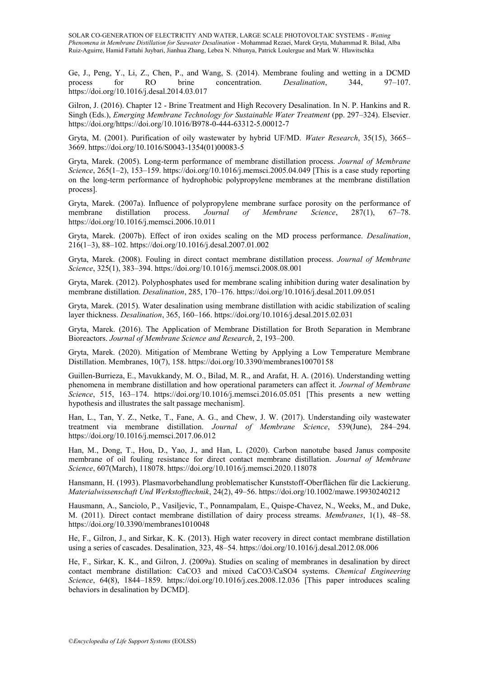Ge, J., Peng, Y., Li, Z., Chen, P., and Wang, S. (2014). Membrane fouling and wetting in a DCMD process for RO brine concentration. *Desalination*, 344, 97–107. https://doi.org/10.1016/j.desal.2014.03.017

Gilron, J. (2016). Chapter 12 - Brine Treatment and High Recovery Desalination. In N. P. Hankins and R. Singh (Eds.), *Emerging Membrane Technology for Sustainable Water Treatment* (pp. 297–324). Elsevier. https://doi.org/https://doi.org/10.1016/B978-0-444-63312-5.00012-7

Gryta, M. (2001). Purification of oily wastewater by hybrid UF/MD. *Water Research*, 35(15), 3665– 3669. https://doi.org/10.1016/S0043-1354(01)00083-5

Gryta, Marek. (2005). Long-term performance of membrane distillation process. *Journal of Membrane Science*, 265(1–2), 153–159. https://doi.org/10.1016/j.memsci.2005.04.049 [This is a case study reporting on the long-term performance of hydrophobic polypropylene membranes at the membrane distillation process].

Gryta, Marek. (2007a). Influence of polypropylene membrane surface porosity on the performance of membrane distillation process. *Journal of Membrane Science*, 287(1), 67–78. https://doi.org/10.1016/j.memsci.2006.10.011

Gryta, Marek. (2007b). Effect of iron oxides scaling on the MD process performance. *Desalination*, 216(1–3), 88–102. https://doi.org/10.1016/j.desal.2007.01.002

Gryta, Marek. (2008). Fouling in direct contact membrane distillation process. *Journal of Membrane Science*, 325(1), 383–394. https://doi.org/10.1016/j.memsci.2008.08.001

Gryta, Marek. (2012). Polyphosphates used for membrane scaling inhibition during water desalination by membrane distillation. *Desalination*, 285, 170–176. https://doi.org/10.1016/j.desal.2011.09.051

Gryta, Marek. (2015). Water desalination using membrane distillation with acidic stabilization of scaling layer thickness. *Desalination*, 365, 160–166. https://doi.org/10.1016/j.desal.2015.02.031

Gryta, Marek. (2016). The Application of Membrane Distillation for Broth Separation in Membrane Bioreactors. *Journal of Membrane Science and Research*, 2, 193–200.

Gryta, Marek. (2020). Mitigation of Membrane Wetting by Applying a Low Temperature Membrane Distillation. Membranes, 10(7), 158. https://doi.org/10.3390/membranes10070158

Guillen-Burrieza, E., Mavukkandy, M. O., Bilad, M. R., and Arafat, H. A. (2016). Understanding wetting phenomena in membrane distillation and how operational parameters can affect it. *Journal of Membrane Science*, 515, 163–174. https://doi.org/10.1016/j.memsci.2016.05.051 [This presents a new wetting hypothesis and illustrates the salt passage mechanism].

Han, L., Tan, Y. Z., Netke, T., Fane, A. G., and Chew, J. W. (2017). Understanding oily wastewater treatment via membrane distillation. *Journal of Membrane Science*, 539(June), 284–294. https://doi.org/10.1016/j.memsci.2017.06.012

Han, M., Dong, T., Hou, D., Yao, J., and Han, L. (2020). Carbon nanotube based Janus composite membrane of oil fouling resistance for direct contact membrane distillation. *Journal of Membrane Science*, 607(March), 118078. https://doi.org/10.1016/j.memsci.2020.118078

Hansmann, H. (1993). Plasmavorbehandlung problematischer Kunststoff-Oberflächen für die Lackierung. *Materialwissenschaft Und Werkstofftechnik*, 24(2), 49–56. https://doi.org/10.1002/mawe.19930240212

Hausmann, A., Sanciolo, P., Vasiljevic, T., Ponnampalam, E., Quispe-Chavez, N., Weeks, M., and Duke, M. (2011). Direct contact membrane distillation of dairy process streams. *Membranes*, 1(1), 48–58. https://doi.org/10.3390/membranes1010048

He, F., Gilron, J., and Sirkar, K. K. (2013). High water recovery in direct contact membrane distillation using a series of cascades. Desalination, 323, 48–54. https://doi.org/10.1016/j.desal.2012.08.006

He, F., Sirkar, K. K., and Gilron, J. (2009a). Studies on scaling of membranes in desalination by direct contact membrane distillation: CaCO3 and mixed CaCO3/CaSO4 systems. *Chemical Engineering Science*, 64(8), 1844–1859. https://doi.org/10.1016/j.ces.2008.12.036 [This paper introduces scaling behaviors in desalination by DCMD].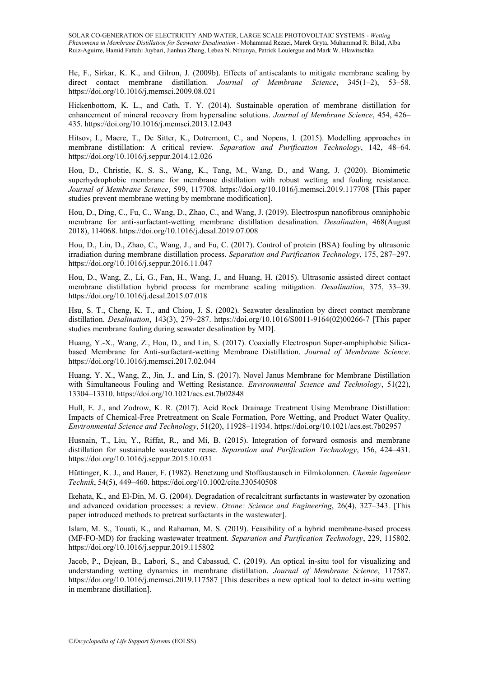He, F., Sirkar, K. K., and Gilron, J. (2009b). Effects of antiscalants to mitigate membrane scaling by direct contact membrane distillation. *Journal of Membrane Science*, 345(1–2), 53–58. https://doi.org/10.1016/j.memsci.2009.08.021

Hickenbottom, K. L., and Cath, T. Y. (2014). Sustainable operation of membrane distillation for enhancement of mineral recovery from hypersaline solutions. *Journal of Membrane Science*, 454, 426– 435. https://doi.org/10.1016/j.memsci.2013.12.043

Hitsov, I., Maere, T., De Sitter, K., Dotremont, C., and Nopens, I. (2015). Modelling approaches in membrane distillation: A critical review. *Separation and Purification Technology*, 142, 48–64. https://doi.org/10.1016/j.seppur.2014.12.026

Hou, D., Christie, K. S. S., Wang, K., Tang, M., Wang, D., and Wang, J. (2020). Biomimetic superhydrophobic membrane for membrane distillation with robust wetting and fouling resistance. *Journal of Membrane Science*, 599, 117708. https://doi.org/10.1016/j.memsci.2019.117708 [This paper studies prevent membrane wetting by membrane modification].

Hou, D., Ding, C., Fu, C., Wang, D., Zhao, C., and Wang, J. (2019). Electrospun nanofibrous omniphobic membrane for anti-surfactant-wetting membrane distillation desalination. *Desalination*, 468(August 2018), 114068. https://doi.org/10.1016/j.desal.2019.07.008

Hou, D., Lin, D., Zhao, C., Wang, J., and Fu, C. (2017). Control of protein (BSA) fouling by ultrasonic irradiation during membrane distillation process. *Separation and Purification Technology*, 175, 287–297. https://doi.org/10.1016/j.seppur.2016.11.047

Hou, D., Wang, Z., Li, G., Fan, H., Wang, J., and Huang, H. (2015). Ultrasonic assisted direct contact membrane distillation hybrid process for membrane scaling mitigation. *Desalination*, 375, 33–39. https://doi.org/10.1016/j.desal.2015.07.018

Hsu, S. T., Cheng, K. T., and Chiou, J. S. (2002). Seawater desalination by direct contact membrane distillation. *Desalination*, 143(3), 279–287. https://doi.org/10.1016/S0011-9164(02)00266-7 [This paper studies membrane fouling during seawater desalination by MD].

Huang, Y.-X., Wang, Z., Hou, D., and Lin, S. (2017). Coaxially Electrospun Super-amphiphobic Silicabased Membrane for Anti-surfactant-wetting Membrane Distillation. *Journal of Membrane Science*. https://doi.org/10.1016/j.memsci.2017.02.044

Huang, Y. X., Wang, Z., Jin, J., and Lin, S. (2017). Novel Janus Membrane for Membrane Distillation with Simultaneous Fouling and Wetting Resistance. *Environmental Science and Technology*, 51(22), 13304–13310. https://doi.org/10.1021/acs.est.7b02848

Hull, E. J., and Zodrow, K. R. (2017). Acid Rock Drainage Treatment Using Membrane Distillation: Impacts of Chemical-Free Pretreatment on Scale Formation, Pore Wetting, and Product Water Quality. *Environmental Science and Technology*, 51(20), 11928–11934. https://doi.org/10.1021/acs.est.7b02957

Husnain, T., Liu, Y., Riffat, R., and Mi, B. (2015). Integration of forward osmosis and membrane distillation for sustainable wastewater reuse. *Separation and Purification Technology*, 156, 424–431. https://doi.org/10.1016/j.seppur.2015.10.031

Hüttinger, K. J., and Bauer, F. (1982). Benetzung und Stoffaustausch in Filmkolonnen. *Chemie Ingenieur Technik*, 54(5), 449–460. https://doi.org/10.1002/cite.330540508

Ikehata, K., and El-Din, M. G. (2004). Degradation of recalcitrant surfactants in wastewater by ozonation and advanced oxidation processes: a review. *Ozone: Science and Engineering*, 26(4), 327–343. [This paper introduced methods to pretreat surfactants in the wastewater].

Islam, M. S., Touati, K., and Rahaman, M. S. (2019). Feasibility of a hybrid membrane-based process (MF-FO-MD) for fracking wastewater treatment. *Separation and Purification Technology*, 229, 115802. https://doi.org/10.1016/j.seppur.2019.115802

Jacob, P., Dejean, B., Labori, S., and Cabassud, C. (2019). An optical in-situ tool for visualizing and understanding wetting dynamics in membrane distillation. *Journal of Membrane Science*, 117587. https://doi.org/10.1016/j.memsci.2019.117587 [This describes a new optical tool to detect in-situ wetting in membrane distillation].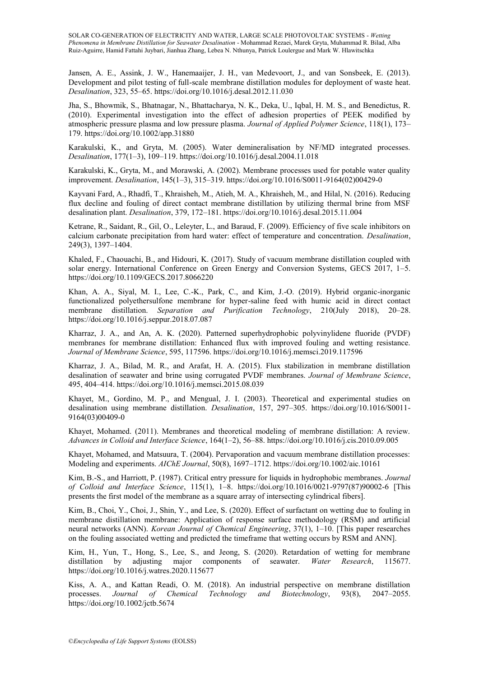Jansen, A. E., Assink, J. W., Hanemaaijer, J. H., van Medevoort, J., and van Sonsbeek, E. (2013). Development and pilot testing of full-scale membrane distillation modules for deployment of waste heat. *Desalination*, 323, 55–65. https://doi.org/10.1016/j.desal.2012.11.030

Jha, S., Bhowmik, S., Bhatnagar, N., Bhattacharya, N. K., Deka, U., Iqbal, H. M. S., and Benedictus, R. (2010). Experimental investigation into the effect of adhesion properties of PEEK modified by atmospheric pressure plasma and low pressure plasma. *Journal of Applied Polymer Science*, 118(1), 173– 179. https://doi.org/10.1002/app.31880

Karakulski, K., and Gryta, M. (2005). Water demineralisation by NF/MD integrated processes. *Desalination*, 177(1–3), 109–119. https://doi.org/10.1016/j.desal.2004.11.018

Karakulski, K., Gryta, M., and Morawski, A. (2002). Membrane processes used for potable water quality improvement. *Desalination*, 145(1–3), 315–319. https://doi.org/10.1016/S0011-9164(02)00429-0

Kayvani Fard, A., Rhadfi, T., Khraisheh, M., Atieh, M. A., Khraisheh, M., and Hilal, N. (2016). Reducing flux decline and fouling of direct contact membrane distillation by utilizing thermal brine from MSF desalination plant. *Desalination*, 379, 172–181. https://doi.org/10.1016/j.desal.2015.11.004

Ketrane, R., Saidant, R., Gil, O., Leleyter, L., and Baraud, F. (2009). Efficiency of five scale inhibitors on calcium carbonate precipitation from hard water: effect of temperature and concentration. *Desalination*, 249(3), 1397–1404.

Khaled, F., Chaouachi, B., and Hidouri, K. (2017). Study of vacuum membrane distillation coupled with solar energy. International Conference on Green Energy and Conversion Systems, GECS 2017, 1–5. https://doi.org/10.1109/GECS.2017.8066220

Khan, A. A., Siyal, M. I., Lee, C.-K., Park, C., and Kim, J.-O. (2019). Hybrid organic-inorganic functionalized polyethersulfone membrane for hyper-saline feed with humic acid in direct contact membrane distillation. *Separation and Purification Technology*, 210(July 2018), 20–28. https://doi.org/10.1016/j.seppur.2018.07.087

Kharraz, J. A., and An, A. K. (2020). Patterned superhydrophobic polyvinylidene fluoride (PVDF) membranes for membrane distillation: Enhanced flux with improved fouling and wetting resistance. *Journal of Membrane Science*, 595, 117596. https://doi.org/10.1016/j.memsci.2019.117596

Kharraz, J. A., Bilad, M. R., and Arafat, H. A. (2015). Flux stabilization in membrane distillation desalination of seawater and brine using corrugated PVDF membranes. *Journal of Membrane Science*, 495, 404–414. https://doi.org/10.1016/j.memsci.2015.08.039

Khayet, M., Gordino, M. P., and Mengual, J. I. (2003). Theoretical and experimental studies on desalination using membrane distillation. *Desalination*, 157, 297–305. https://doi.org/10.1016/S0011- 9164(03)00409-0

Khayet, Mohamed. (2011). Membranes and theoretical modeling of membrane distillation: A review. *Advances in Colloid and Interface Science*, 164(1–2), 56–88. https://doi.org/10.1016/j.cis.2010.09.005

Khayet, Mohamed, and Matsuura, T. (2004). Pervaporation and vacuum membrane distillation processes: Modeling and experiments. *AIChE Journal*, 50(8), 1697–1712. https://doi.org/10.1002/aic.10161

Kim, B.-S., and Harriott, P. (1987). Critical entry pressure for liquids in hydrophobic membranes. *Journal of Colloid and Interface Science*, 115(1), 1–8. https://doi.org/10.1016/0021-9797(87)90002-6 [This presents the first model of the membrane as a square array of intersecting cylindrical fibers].

Kim, B., Choi, Y., Choi, J., Shin, Y., and Lee, S. (2020). Effect of surfactant on wetting due to fouling in membrane distillation membrane: Application of response surface methodology (RSM) and artificial neural networks (ANN). *Korean Journal of Chemical Engineering*, 37(1), 1–10. [This paper researches on the fouling associated wetting and predicted the timeframe that wetting occurs by RSM and ANN].

Kim, H., Yun, T., Hong, S., Lee, S., and Jeong, S. (2020). Retardation of wetting for membrane distillation by adjusting major components of seawater. *Water Research*, 115677. https://doi.org/10.1016/j.watres.2020.115677

Kiss, A. A., and Kattan Readi, O. M. (2018). An industrial perspective on membrane distillation processes. *Journal of Chemical Technology and Biotechnology*, 93(8), 2047–2055. https://doi.org/10.1002/jctb.5674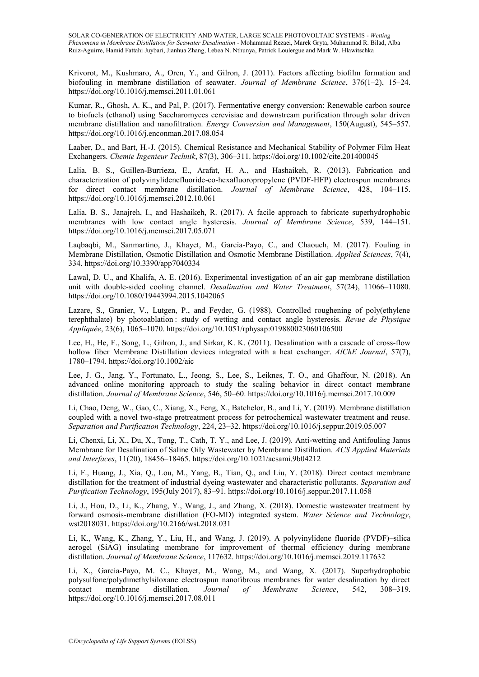Krivorot, M., Kushmaro, A., Oren, Y., and Gilron, J. (2011). Factors affecting biofilm formation and biofouling in membrane distillation of seawater. *Journal of Membrane Science*, 376(1–2), 15–24. https://doi.org/10.1016/j.memsci.2011.01.061

Kumar, R., Ghosh, A. K., and Pal, P. (2017). Fermentative energy conversion: Renewable carbon source to biofuels (ethanol) using Saccharomyces cerevisiae and downstream purification through solar driven membrane distillation and nanofiltration. *Energy Conversion and Management*, 150(August), 545–557. https://doi.org/10.1016/j.enconman.2017.08.054

Laaber, D., and Bart, H.-J. (2015). Chemical Resistance and Mechanical Stability of Polymer Film Heat Exchangers. *Chemie Ingenieur Technik*, 87(3), 306–311. https://doi.org/10.1002/cite.201400045

Lalia, B. S., Guillen-Burrieza, E., Arafat, H. A., and Hashaikeh, R. (2013). Fabrication and characterization of polyvinylidenefluoride-co-hexafluoropropylene (PVDF-HFP) electrospun membranes for direct contact membrane distillation. *Journal of Membrane Science*, 428, 104–115. https://doi.org/10.1016/j.memsci.2012.10.061

Lalia, B. S., Janajreh, I., and Hashaikeh, R. (2017). A facile approach to fabricate superhydrophobic membranes with low contact angle hysteresis. *Journal of Membrane Science*, 539, 144–151. https://doi.org/10.1016/j.memsci.2017.05.071

Laqbaqbi, M., Sanmartino, J., Khayet, M., García-Payo, C., and Chaouch, M. (2017). Fouling in Membrane Distillation, Osmotic Distillation and Osmotic Membrane Distillation. *Applied Sciences*, 7(4), 334. https://doi.org/10.3390/app7040334

Lawal, D. U., and Khalifa, A. E. (2016). Experimental investigation of an air gap membrane distillation unit with double-sided cooling channel. *Desalination and Water Treatment*, 57(24), 11066–11080. https://doi.org/10.1080/19443994.2015.1042065

Lazare, S., Granier, V., Lutgen, P., and Feyder, G. (1988). Controlled roughening of poly(ethylene terephthalate) by photoablation : study of wetting and contact angle hysteresis. *Revue de Physique Appliquée*, 23(6), 1065–1070. https://doi.org/10.1051/rphysap:019880023060106500

Lee, H., He, F., Song, L., Gilron, J., and Sirkar, K. K. (2011). Desalination with a cascade of cross-flow hollow fiber Membrane Distillation devices integrated with a heat exchanger. *AlChE Journal*, 57(7), 1780–1794. https://doi.org/10.1002/aic

Lee, J. G., Jang, Y., Fortunato, L., Jeong, S., Lee, S., Leiknes, T. O., and Ghaffour, N. (2018). An advanced online monitoring approach to study the scaling behavior in direct contact membrane distillation. *Journal of Membrane Science*, 546, 50–60. https://doi.org/10.1016/j.memsci.2017.10.009

Li, Chao, Deng, W., Gao, C., Xiang, X., Feng, X., Batchelor, B., and Li, Y. (2019). Membrane distillation coupled with a novel two-stage pretreatment process for petrochemical wastewater treatment and reuse. *Separation and Purification Technology*, 224, 23–32. https://doi.org/10.1016/j.seppur.2019.05.007

Li, Chenxi, Li, X., Du, X., Tong, T., Cath, T. Y., and Lee, J. (2019). Anti-wetting and Antifouling Janus Membrane for Desalination of Saline Oily Wastewater by Membrane Distillation. *ACS Applied Materials and Interfaces*, 11(20), 18456–18465. https://doi.org/10.1021/acsami.9b04212

Li, F., Huang, J., Xia, Q., Lou, M., Yang, B., Tian, Q., and Liu, Y. (2018). Direct contact membrane distillation for the treatment of industrial dyeing wastewater and characteristic pollutants. *Separation and Purification Technology*, 195(July 2017), 83–91. https://doi.org/10.1016/j.seppur.2017.11.058

Li, J., Hou, D., Li, K., Zhang, Y., Wang, J., and Zhang, X. (2018). Domestic wastewater treatment by forward osmosis-membrane distillation (FO-MD) integrated system. *Water Science and Technology*, wst2018031. https://doi.org/10.2166/wst.2018.031

Li, K., Wang, K., Zhang, Y., Liu, H., and Wang, J. (2019). A polyvinylidene fluoride (PVDF)–silica aerogel (SiAG) insulating membrane for improvement of thermal efficiency during membrane distillation. *Journal of Membrane Science*, 117632. https://doi.org/10.1016/j.memsci.2019.117632

Li, X., García-Payo, M. C., Khayet, M., Wang, M., and Wang, X. (2017). Superhydrophobic polysulfone/polydimethylsiloxane electrospun nanofibrous membranes for water desalination by direct contact membrane distillation. *Journal of Membrane Science*, 542, 308–319. https://doi.org/10.1016/j.memsci.2017.08.011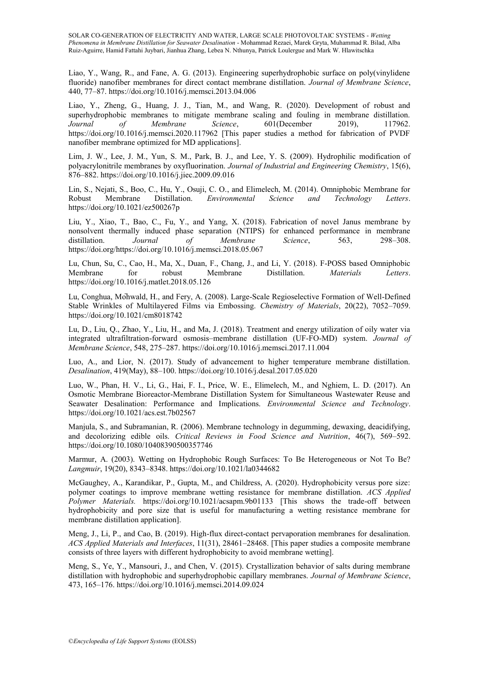Liao, Y., Wang, R., and Fane, A. G. (2013). Engineering superhydrophobic surface on poly(vinylidene fluoride) nanofiber membranes for direct contact membrane distillation. *Journal of Membrane Science*, 440, 77–87. https://doi.org/10.1016/j.memsci.2013.04.006

Liao, Y., Zheng, G., Huang, J. J., Tian, M., and Wang, R. (2020). Development of robust and superhydrophobic membranes to mitigate membrane scaling and fouling in membrane distillation. *Journal of Membrane Science*, 601(December 2019), 117962. https://doi.org/10.1016/j.memsci.2020.117962 [This paper studies a method for fabrication of PVDF nanofiber membrane optimized for MD applications].

Lim, J. W., Lee, J. M., Yun, S. M., Park, B. J., and Lee, Y. S. (2009). Hydrophilic modification of polyacrylonitrile membranes by oxyfluorination. *Journal of Industrial and Engineering Chemistry*, 15(6), 876–882. https://doi.org/10.1016/j.jiec.2009.09.016

Lin, S., Nejati, S., Boo, C., Hu, Y., Osuji, C. O., and Elimelech, M. (2014). Omniphobic Membrane for Robust Membrane Distillation. *Environmental Science and Technology Letters*. https://doi.org/10.1021/ez500267p

Liu, Y., Xiao, T., Bao, C., Fu, Y., and Yang, X. (2018). Fabrication of novel Janus membrane by nonsolvent thermally induced phase separation (NTIPS) for enhanced performance in membrane distillation. *Journal of Membrane Science*, 563, 298–308. https://doi.org/https://doi.org/10.1016/j.memsci.2018.05.067

Lu, Chun, Su, C., Cao, H., Ma, X., Duan, F., Chang, J., and Li, Y. (2018). F-POSS based Omniphobic Membrane for robust Membrane Distillation. *Materials Letters*. https://doi.org/10.1016/j.matlet.2018.05.126

Lu, Conghua, Mohwald, H., and Fery, A. (2008). Large-Scale Regioselective Formation of Well-Defined Stable Wrinkles of Multilayered Films via Embossing. *Chemistry of Materials*, 20(22), 7052–7059. https://doi.org/10.1021/cm8018742

Lu, D., Liu, Q., Zhao, Y., Liu, H., and Ma, J. (2018). Treatment and energy utilization of oily water via integrated ultrafiltration-forward osmosis–membrane distillation (UF-FO-MD) system. *Journal of Membrane Science*, 548, 275–287. https://doi.org/10.1016/j.memsci.2017.11.004

Luo, A., and Lior, N. (2017). Study of advancement to higher temperature membrane distillation. *Desalination*, 419(May), 88–100. https://doi.org/10.1016/j.desal.2017.05.020

Luo, W., Phan, H. V., Li, G., Hai, F. I., Price, W. E., Elimelech, M., and Nghiem, L. D. (2017). An Osmotic Membrane Bioreactor-Membrane Distillation System for Simultaneous Wastewater Reuse and Seawater Desalination: Performance and Implications. *Environmental Science and Technology*. https://doi.org/10.1021/acs.est.7b02567

Manjula, S., and Subramanian, R. (2006). Membrane technology in degumming, dewaxing, deacidifying, and decolorizing edible oils. *Critical Reviews in Food Science and Nutrition*, 46(7), 569–592. https://doi.org/10.1080/10408390500357746

Marmur, A. (2003). Wetting on Hydrophobic Rough Surfaces: To Be Heterogeneous or Not To Be? *Langmuir*, 19(20), 8343–8348. https://doi.org/10.1021/la0344682

McGaughey, A., Karandikar, P., Gupta, M., and Childress, A. (2020). Hydrophobicity versus pore size: polymer coatings to improve membrane wetting resistance for membrane distillation. *ACS Applied Polymer Materials.* https://doi.org/10.1021/acsapm.9b01133 [This shows the trade-off between hydrophobicity and pore size that is useful for manufacturing a wetting resistance membrane for membrane distillation application].

Meng, J., Li, P., and Cao, B. (2019). High-flux direct-contact pervaporation membranes for desalination. *ACS Applied Materials and Interfaces*, 11(31), 28461–28468. [This paper studies a composite membrane consists of three layers with different hydrophobicity to avoid membrane wetting].

Meng, S., Ye, Y., Mansouri, J., and Chen, V. (2015). Crystallization behavior of salts during membrane distillation with hydrophobic and superhydrophobic capillary membranes. *Journal of Membrane Science*, 473, 165–176. https://doi.org/10.1016/j.memsci.2014.09.024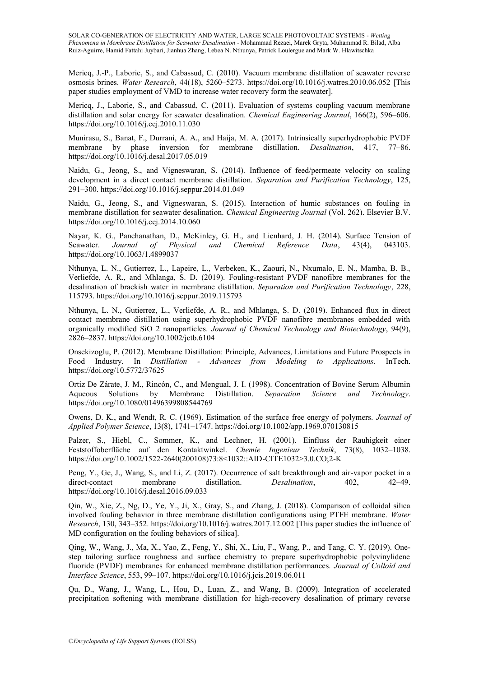Mericq, J.-P., Laborie, S., and Cabassud, C. (2010). Vacuum membrane distillation of seawater reverse osmosis brines. *Water Research*, 44(18), 5260–5273. https://doi.org/10.1016/j.watres.2010.06.052 [This paper studies employment of VMD to increase water recovery form the seawater].

Mericq, J., Laborie, S., and Cabassud, C. (2011). Evaluation of systems coupling vacuum membrane distillation and solar energy for seawater desalination. *Chemical Engineering Journal*, 166(2), 596–606. https://doi.org/10.1016/j.cej.2010.11.030

Munirasu, S., Banat, F., Durrani, A. A., and Haija, M. A. (2017). Intrinsically superhydrophobic PVDF membrane by phase inversion for membrane distillation. *Desalination*, 417, 77–86. https://doi.org/10.1016/j.desal.2017.05.019

Naidu, G., Jeong, S., and Vigneswaran, S. (2014). Influence of feed/permeate velocity on scaling development in a direct contact membrane distillation. *Separation and Purification Technology*, 125, 291–300. https://doi.org/10.1016/j.seppur.2014.01.049

Naidu, G., Jeong, S., and Vigneswaran, S. (2015). Interaction of humic substances on fouling in membrane distillation for seawater desalination. *Chemical Engineering Journal* (Vol. 262). Elsevier B.V. https://doi.org/10.1016/j.cej.2014.10.060

Nayar, K. G., Panchanathan, D., McKinley, G. H., and Lienhard, J. H. (2014). Surface Tension of Seawater. *Journal of Physical and Chemical Reference Data*, 43(4), 043103. https://doi.org/10.1063/1.4899037

Nthunya, L. N., Gutierrez, L., Lapeire, L., Verbeken, K., Zaouri, N., Nxumalo, E. N., Mamba, B. B., Verliefde, A. R., and Mhlanga, S. D. (2019). Fouling-resistant PVDF nanofibre membranes for the desalination of brackish water in membrane distillation. *Separation and Purification Technology*, 228, 115793. https://doi.org/10.1016/j.seppur.2019.115793

Nthunya, L. N., Gutierrez, L., Verliefde, A. R., and Mhlanga, S. D. (2019). Enhanced flux in direct contact membrane distillation using superhydrophobic PVDF nanofibre membranes embedded with organically modified SiO 2 nanoparticles. *Journal of Chemical Technology and Biotechnology*, 94(9), 2826–2837. https://doi.org/10.1002/jctb.6104

Onsekizoglu, P. (2012). Membrane Distillation: Principle, Advances, Limitations and Future Prospects in Food Industry. In *Distillation - Advances from Modeling to Applications*. InTech. https://doi.org/10.5772/37625

Ortiz De Zárate, J. M., Rincón, C., and Mengual, J. I. (1998). Concentration of Bovine Serum Albumin Aqueous Solutions by Membrane Distillation. *Separation Science and Technology*. https://doi.org/10.1080/01496399808544769

Owens, D. K., and Wendt, R. C. (1969). Estimation of the surface free energy of polymers. *Journal of Applied Polymer Science*, 13(8), 1741–1747. https://doi.org/10.1002/app.1969.070130815

Palzer, S., Hiebl, C., Sommer, K., and Lechner, H. (2001). Einfluss der Rauhigkeit einer Feststoffoberfläche auf den Kontaktwinkel. *Chemie Ingenieur Technik*, 73(8), 1032–1038. https://doi.org/10.1002/1522-2640(200108)73:8<1032::AID-CITE1032>3.0.CO;2-K

Peng, Y., Ge, J., Wang, S., and Li, Z. (2017). Occurrence of salt breakthrough and air-vapor pocket in a direct-contact membrane distillation. *Desalination*, 402, 42–49. https://doi.org/10.1016/j.desal.2016.09.033

Qin, W., Xie, Z., Ng, D., Ye, Y., Ji, X., Gray, S., and Zhang, J. (2018). Comparison of colloidal silica involved fouling behavior in three membrane distillation configurations using PTFE membrane. *Water Research*, 130, 343–352. https://doi.org/10.1016/j.watres.2017.12.002 [This paper studies the influence of MD configuration on the fouling behaviors of silica].

Qing, W., Wang, J., Ma, X., Yao, Z., Feng, Y., Shi, X., Liu, F., Wang, P., and Tang, C. Y. (2019). Onestep tailoring surface roughness and surface chemistry to prepare superhydrophobic polyvinylidene fluoride (PVDF) membranes for enhanced membrane distillation performances. *Journal of Colloid and Interface Science*, 553, 99–107. https://doi.org/10.1016/j.jcis.2019.06.011

Qu, D., Wang, J., Wang, L., Hou, D., Luan, Z., and Wang, B. (2009). Integration of accelerated precipitation softening with membrane distillation for high-recovery desalination of primary reverse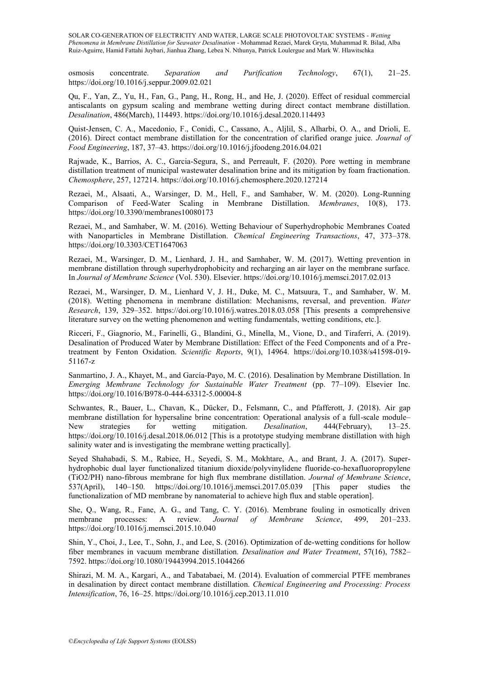osmosis concentrate. *Separation and Purification Technology*, 67(1), 21–25. https://doi.org/10.1016/j.seppur.2009.02.021

Qu, F., Yan, Z., Yu, H., Fan, G., Pang, H., Rong, H., and He, J. (2020). Effect of residual commercial antiscalants on gypsum scaling and membrane wetting during direct contact membrane distillation. *Desalination*, 486(March), 114493. https://doi.org/10.1016/j.desal.2020.114493

Quist-Jensen, C. A., Macedonio, F., Conidi, C., Cassano, A., Aljlil, S., Alharbi, O. A., and Drioli, E. (2016). Direct contact membrane distillation for the concentration of clarified orange juice. *Journal of Food Engineering*, 187, 37–43. https://doi.org/10.1016/j.jfoodeng.2016.04.021

Rajwade, K., Barrios, A. C., Garcia-Segura, S., and Perreault, F. (2020). Pore wetting in membrane distillation treatment of municipal wastewater desalination brine and its mitigation by foam fractionation. *Chemosphere*, 257, 127214. https://doi.org/10.1016/j.chemosphere.2020.127214

Rezaei, M., Alsaati, A., Warsinger, D. M., Hell, F., and Samhaber, W. M. (2020). Long-Running Comparison of Feed-Water Scaling in Membrane Distillation. *Membranes*, 10(8), 173. https://doi.org/10.3390/membranes10080173

Rezaei, M., and Samhaber, W. M. (2016). Wetting Behaviour of Superhydrophobic Membranes Coated with Nanoparticles in Membrane Distillation. *Chemical Engineering Transactions*, 47, 373–378. https://doi.org/10.3303/CET1647063

Rezaei, M., Warsinger, D. M., Lienhard, J. H., and Samhaber, W. M. (2017). Wetting prevention in membrane distillation through superhydrophobicity and recharging an air layer on the membrane surface. In *Journal of Membrane Science* (Vol. 530). Elsevier. https://doi.org/10.1016/j.memsci.2017.02.013

Rezaei, M., Warsinger, D. M., Lienhard V, J. H., Duke, M. C., Matsuura, T., and Samhaber, W. M. (2018). Wetting phenomena in membrane distillation: Mechanisms, reversal, and prevention. *Water Research*, 139, 329–352. https://doi.org/10.1016/j.watres.2018.03.058 [This presents a comprehensive literature survey on the wetting phenomenon and wetting fundamentals, wetting conditions, etc.].

Ricceri, F., Giagnorio, M., Farinelli, G., Blandini, G., Minella, M., Vione, D., and Tiraferri, A. (2019). Desalination of Produced Water by Membrane Distillation: Effect of the Feed Components and of a Pretreatment by Fenton Oxidation. *Scientific Reports*, 9(1), 14964. https://doi.org/10.1038/s41598-019- 51167-z

Sanmartino, J. A., Khayet, M., and García-Payo, M. C. (2016). Desalination by Membrane Distillation. In *Emerging Membrane Technology for Sustainable Water Treatment* (pp. 77–109). Elsevier Inc. https://doi.org/10.1016/B978-0-444-63312-5.00004-8

Schwantes, R., Bauer, L., Chavan, K., Dücker, D., Felsmann, C., and Pfafferott, J. (2018). Air gap membrane distillation for hypersaline brine concentration: Operational analysis of a full-scale module– New strategies for wetting mitigation. *Desalination*, 444(February), 13–25. https://doi.org/10.1016/j.desal.2018.06.012 [This is a prototype studying membrane distillation with high salinity water and is investigating the membrane wetting practically].

Seyed Shahabadi, S. M., Rabiee, H., Seyedi, S. M., Mokhtare, A., and Brant, J. A. (2017). Superhydrophobic dual layer functionalized titanium dioxide/polyvinylidene fluoride-co-hexafluoropropylene (TiO2/PH) nano-fibrous membrane for high flux membrane distillation. *Journal of Membrane Science*, 537(April), 140–150. https://doi.org/10.1016/j.memsci.2017.05.039 [This paper studies the functionalization of MD membrane by nanomaterial to achieve high flux and stable operation].

She, Q., Wang, R., Fane, A. G., and Tang, C. Y. (2016). Membrane fouling in osmotically driven membrane processes: A review. *Journal of Membrane Science*, 499, 201–233. https://doi.org/10.1016/j.memsci.2015.10.040

Shin, Y., Choi, J., Lee, T., Sohn, J., and Lee, S. (2016). Optimization of de-wetting conditions for hollow fiber membranes in vacuum membrane distillation. *Desalination and Water Treatment*, 57(16), 7582– 7592. https://doi.org/10.1080/19443994.2015.1044266

Shirazi, M. M. A., Kargari, A., and Tabatabaei, M. (2014). Evaluation of commercial PTFE membranes in desalination by direct contact membrane distillation. *Chemical Engineering and Processing: Process Intensification*, 76, 16–25. https://doi.org/10.1016/j.cep.2013.11.010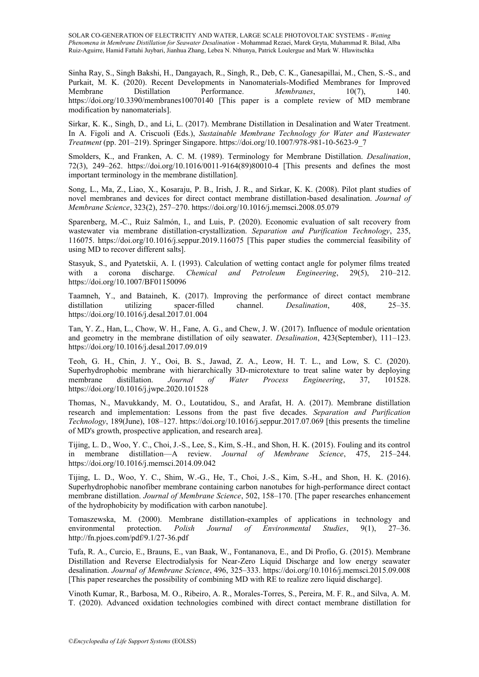Sinha Ray, S., Singh Bakshi, H., Dangayach, R., Singh, R., Deb, C. K., Ganesapillai, M., Chen, S.-S., and Purkait, M. K. (2020). Recent Developments in Nanomaterials-Modified Membranes for Improved Membranes Distillation Performance. *Membranes*, 10(7), 140. Performance. *Membranes*, 10(7), https://doi.org/10.3390/membranes10070140 [This paper is a complete review of MD membrane modification by nanomaterials].

Sirkar, K. K., Singh, D., and Li, L. (2017). Membrane Distillation in Desalination and Water Treatment. In A. Figoli and A. Criscuoli (Eds.), *Sustainable Membrane Technology for Water and Wastewater Treatment* (pp. 201–219). Springer Singapore. https://doi.org/10.1007/978-981-10-5623-9\_7

Smolders, K., and Franken, A. C. M. (1989). Terminology for Membrane Distillation. *Desalination*, 72(3), 249–262. https://doi.org/10.1016/0011-9164(89)80010-4 [This presents and defines the most important terminology in the membrane distillation].

Song, L., Ma, Z., Liao, X., Kosaraju, P. B., Irish, J. R., and Sirkar, K. K. (2008). Pilot plant studies of novel membranes and devices for direct contact membrane distillation-based desalination. *Journal of Membrane Science*, 323(2), 257–270. https://doi.org/10.1016/j.memsci.2008.05.079

Sparenberg, M.-C., Ruiz Salmón, I., and Luis, P. (2020). Economic evaluation of salt recovery from wastewater via membrane distillation-crystallization. *Separation and Purification Technology*, 235, 116075. https://doi.org/10.1016/j.seppur.2019.116075 [This paper studies the commercial feasibility of using MD to recover different salts].

Stasyuk, S., and Pyatetskii, A. I. (1993). Calculation of wetting contact angle for polymer films treated with a corona discharge. *Chemical and Petroleum Engineering*, 29(5), 210–212. https://doi.org/10.1007/BF01150096

Taamneh, Y., and Bataineh, K. (2017). Improving the performance of direct contact membrane distillation utilizing spacer-filled channel. *Desalination*, 408, 25–35. https://doi.org/10.1016/j.desal.2017.01.004

Tan, Y. Z., Han, L., Chow, W. H., Fane, A. G., and Chew, J. W. (2017). Influence of module orientation and geometry in the membrane distillation of oily seawater. *Desalination*, 423(September), 111–123. https://doi.org/10.1016/j.desal.2017.09.019

Teoh, G. H., Chin, J. Y., Ooi, B. S., Jawad, Z. A., Leow, H. T. L., and Low, S. C. (2020). Superhydrophobic membrane with hierarchically 3D-microtexture to treat saline water by deploying membrane distillation. *Journal of Water Process Engineering*, 37, 101528. https://doi.org/10.1016/j.jwpe.2020.101528

Thomas, N., Mavukkandy, M. O., Loutatidou, S., and Arafat, H. A. (2017). Membrane distillation research and implementation: Lessons from the past five decades. *Separation and Purification Technology*, 189(June), 108–127. https://doi.org/10.1016/j.seppur.2017.07.069 [this presents the timeline of MD's growth, prospective application, and research area].

Tijing, L. D., Woo, Y. C., Choi, J.-S., Lee, S., Kim, S.-H., and Shon, H. K. (2015). Fouling and its control in membrane distillation—A review. *Journal of Membrane Science*, 475, 215–244. https://doi.org/10.1016/j.memsci.2014.09.042

Tijing, L. D., Woo, Y. C., Shim, W.-G., He, T., Choi, J.-S., Kim, S.-H., and Shon, H. K. (2016). Superhydrophobic nanofiber membrane containing carbon nanotubes for high-performance direct contact membrane distillation. *Journal of Membrane Science*, 502, 158–170. [The paper researches enhancement of the hydrophobicity by modification with carbon nanotube].

Tomaszewska, M. (2000). Membrane distillation-examples of applications in technology and environmental protection. *Polish Journal of Environmental Studies*, 9(1), 27–36. http://fn.pjoes.com/pdf/9.1/27-36.pdf

Tufa, R. A., Curcio, E., Brauns, E., van Baak, W., Fontananova, E., and Di Profio, G. (2015). Membrane Distillation and Reverse Electrodialysis for Near-Zero Liquid Discharge and low energy seawater desalination. *Journal of Membrane Science*, 496, 325–333. https://doi.org/10.1016/j.memsci.2015.09.008 [This paper researches the possibility of combining MD with RE to realize zero liquid discharge].

Vinoth Kumar, R., Barbosa, M. O., Ribeiro, A. R., Morales-Torres, S., Pereira, M. F. R., and Silva, A. M. T. (2020). Advanced oxidation technologies combined with direct contact membrane distillation for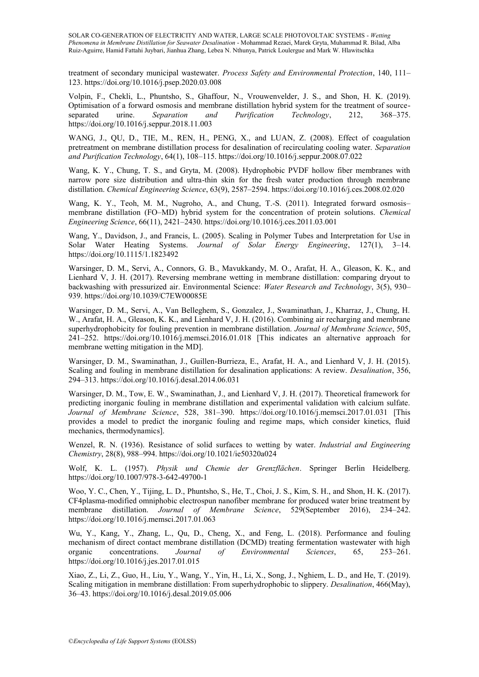treatment of secondary municipal wastewater. *Process Safety and Environmental Protection*, 140, 111– 123. https://doi.org/10.1016/j.psep.2020.03.008

Volpin, F., Chekli, L., Phuntsho, S., Ghaffour, N., Vrouwenvelder, J. S., and Shon, H. K. (2019). Optimisation of a forward osmosis and membrane distillation hybrid system for the treatment of sourceseparated urine. *Separation and Purification Technology*, 212, 368–375. https://doi.org/10.1016/j.seppur.2018.11.003

WANG, J., QU, D., TIE, M., REN, H., PENG, X., and LUAN, Z. (2008). Effect of coagulation pretreatment on membrane distillation process for desalination of recirculating cooling water. *Separation and Purification Technology*, 64(1), 108–115. https://doi.org/10.1016/j.seppur.2008.07.022

Wang, K. Y., Chung, T. S., and Gryta, M. (2008). Hydrophobic PVDF hollow fiber membranes with narrow pore size distribution and ultra-thin skin for the fresh water production through membrane distillation. *Chemical Engineering Science*, 63(9), 2587–2594. https://doi.org/10.1016/j.ces.2008.02.020

Wang, K. Y., Teoh, M. M., Nugroho, A., and Chung, T.-S. (2011). Integrated forward osmosis– membrane distillation (FO–MD) hybrid system for the concentration of protein solutions. *Chemical Engineering Science*, 66(11), 2421–2430. https://doi.org/10.1016/j.ces.2011.03.001

Wang, Y., Davidson, J., and Francis, L. (2005). Scaling in Polymer Tubes and Interpretation for Use in Solar Water Heating Systems. *Journal of Solar Energy Engineering*, 127(1), 3–14. https://doi.org/10.1115/1.1823492

Warsinger, D. M., Servi, A., Connors, G. B., Mavukkandy, M. O., Arafat, H. A., Gleason, K. K., and Lienhard V, J. H. (2017). Reversing membrane wetting in membrane distillation: comparing dryout to backwashing with pressurized air. Environmental Science: *Water Research and Technology*, 3(5), 930– 939. https://doi.org/10.1039/C7EW00085E

Warsinger, D. M., Servi, A., Van Belleghem, S., Gonzalez, J., Swaminathan, J., Kharraz, J., Chung, H. W., Arafat, H. A., Gleason, K. K., and Lienhard V, J. H. (2016). Combining air recharging and membrane superhydrophobicity for fouling prevention in membrane distillation. *Journal of Membrane Science*, 505, 241–252. https://doi.org/10.1016/j.memsci.2016.01.018 [This indicates an alternative approach for membrane wetting mitigation in the MD].

Warsinger, D. M., Swaminathan, J., Guillen-Burrieza, E., Arafat, H. A., and Lienhard V, J. H. (2015). Scaling and fouling in membrane distillation for desalination applications: A review. *Desalination*, 356, 294–313. https://doi.org/10.1016/j.desal.2014.06.031

Warsinger, D. M., Tow, E. W., Swaminathan, J., and Lienhard V, J. H. (2017). Theoretical framework for predicting inorganic fouling in membrane distillation and experimental validation with calcium sulfate. *Journal of Membrane Science*, 528, 381–390. https://doi.org/10.1016/j.memsci.2017.01.031 [This provides a model to predict the inorganic fouling and regime maps, which consider kinetics, fluid mechanics, thermodynamics].

Wenzel, R. N. (1936). Resistance of solid surfaces to wetting by water. *Industrial and Engineering Chemistry*, 28(8), 988–994. https://doi.org/10.1021/ie50320a024

Wolf, K. L. (1957). *Physik und Chemie der Grenzflächen*. Springer Berlin Heidelberg. https://doi.org/10.1007/978-3-642-49700-1

Woo, Y. C., Chen, Y., Tijing, L. D., Phuntsho, S., He, T., Choi, J. S., Kim, S. H., and Shon, H. K. (2017). CF4plasma-modified omniphobic electrospun nanofiber membrane for produced water brine treatment by membrane distillation. *Journal of Membrane Science*, 529(September 2016), 234–242. https://doi.org/10.1016/j.memsci.2017.01.063

Wu, Y., Kang, Y., Zhang, L., Qu, D., Cheng, X., and Feng, L. (2018). Performance and fouling mechanism of direct contact membrane distillation (DCMD) treating fermentation wastewater with high organic concentrations. *Journal of Environmental Sciences*, 65, 253–261. https://doi.org/10.1016/j.jes.2017.01.015

Xiao, Z., Li, Z., Guo, H., Liu, Y., Wang, Y., Yin, H., Li, X., Song, J., Nghiem, L. D., and He, T. (2019). Scaling mitigation in membrane distillation: From superhydrophobic to slippery. *Desalination*, 466(May), 36–43. https://doi.org/10.1016/j.desal.2019.05.006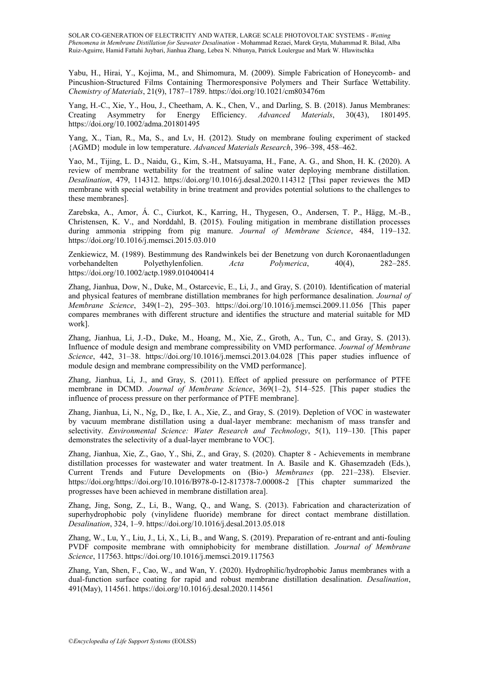Yabu, H., Hirai, Y., Kojima, M., and Shimomura, M. (2009). Simple Fabrication of Honeycomb- and Pincushion-Structured Films Containing Thermoresponsive Polymers and Their Surface Wettability. *Chemistry of Materials*, 21(9), 1787–1789. https://doi.org/10.1021/cm803476m

Yang, H.-C., Xie, Y., Hou, J., Cheetham, A. K., Chen, V., and Darling, S. B. (2018). Janus Membranes:<br>Creating Asymmetry for Energy Efficiency. Advanced Materials, 30(43), 1801495. for Energy Efficiency. *Advanced Materials*, 30(43), 1801495. https://doi.org/10.1002/adma.201801495

Yang, X., Tian, R., Ma, S., and Lv, H. (2012). Study on membrane fouling experiment of stacked {AGMD} module in low temperature. *Advanced Materials Research*, 396–398, 458–462.

Yao, M., Tijing, L. D., Naidu, G., Kim, S.-H., Matsuyama, H., Fane, A. G., and Shon, H. K. (2020). A review of membrane wettability for the treatment of saline water deploying membrane distillation. *Desalination*, 479, 114312. https://doi.org/10.1016/j.desal.2020.114312 [Thsi paper reviewes the MD membrane with special wetability in brine treatment and provides potential solutions to the challenges to these membranes].

Zarebska, A., Amor, Á. C., Ciurkot, K., Karring, H., Thygesen, O., Andersen, T. P., Hägg, M.-B., Christensen, K. V., and Norddahl, B. (2015). Fouling mitigation in membrane distillation processes during ammonia stripping from pig manure. *Journal of Membrane Science*, 484, 119–132. https://doi.org/10.1016/j.memsci.2015.03.010

Zenkiewicz, M. (1989). Bestimmung des Randwinkels bei der Benetzung von durch Koronaentladungen vorbehandelten Polyethylenfolien. *Acta Polymerica*, 40(4), 282–285. https://doi.org/10.1002/actp.1989.010400414

Zhang, Jianhua, Dow, N., Duke, M., Ostarcevic, E., Li, J., and Gray, S. (2010). Identification of material and physical features of membrane distillation membranes for high performance desalination. *Journal of Membrane Science*, 349(1–2), 295–303. https://doi.org/10.1016/j.memsci.2009.11.056 [This paper compares membranes with different structure and identifies the structure and material suitable for MD work].

Zhang, Jianhua, Li, J.-D., Duke, M., Hoang, M., Xie, Z., Groth, A., Tun, C., and Gray, S. (2013). Influence of module design and membrane compressibility on VMD performance. *Journal of Membrane Science*, 442, 31–38. https://doi.org/10.1016/j.memsci.2013.04.028 [This paper studies influence of module design and membrane compressibility on the VMD performance].

Zhang, Jianhua, Li, J., and Gray, S. (2011). Effect of applied pressure on performance of PTFE membrane in DCMD. *Journal of Membrane Science*, 369(1–2), 514–525. [This paper studies the influence of process pressure on ther performance of PTFE membrane].

Zhang, Jianhua, Li, N., Ng, D., Ike, I. A., Xie, Z., and Gray, S. (2019). Depletion of VOC in wastewater by vacuum membrane distillation using a dual-layer membrane: mechanism of mass transfer and selectivity. *Environmental Science: Water Research and Technology*, 5(1), 119–130. [This paper demonstrates the selectivity of a dual-layer membrane to VOC].

Zhang, Jianhua, Xie, Z., Gao, Y., Shi, Z., and Gray, S. (2020). Chapter 8 - Achievements in membrane distillation processes for wastewater and water treatment. In A. Basile and K. Ghasemzadeh (Eds.), Current Trends and Future Developments on (Bio-) *Membranes* (pp. 221–238). Elsevier. https://doi.org/https://doi.org/10.1016/B978-0-12-817378-7.00008-2 [This chapter summarized the progresses have been achieved in membrane distillation area].

Zhang, Jing, Song, Z., Li, B., Wang, Q., and Wang, S. (2013). Fabrication and characterization of superhydrophobic poly (vinylidene fluoride) membrane for direct contact membrane distillation. *Desalination*, 324, 1–9. https://doi.org/10.1016/j.desal.2013.05.018

Zhang, W., Lu, Y., Liu, J., Li, X., Li, B., and Wang, S. (2019). Preparation of re-entrant and anti-fouling PVDF composite membrane with omniphobicity for membrane distillation. *Journal of Membrane Science*, 117563. https://doi.org/10.1016/j.memsci.2019.117563

Zhang, Yan, Shen, F., Cao, W., and Wan, Y. (2020). Hydrophilic/hydrophobic Janus membranes with a dual-function surface coating for rapid and robust membrane distillation desalination. *Desalination*, 491(May), 114561. https://doi.org/10.1016/j.desal.2020.114561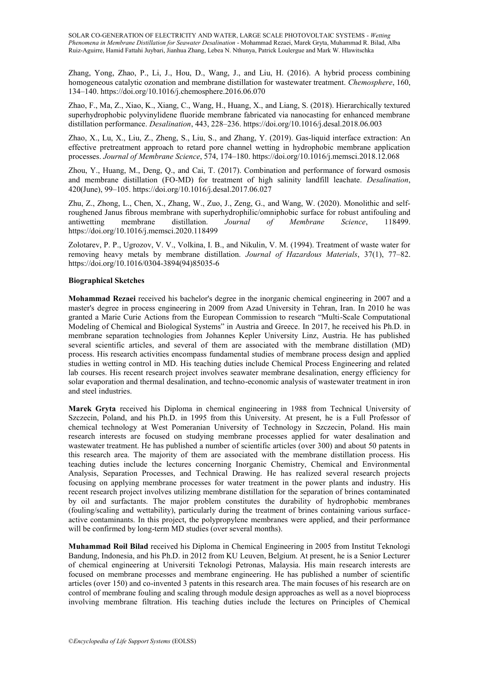Zhang, Yong, Zhao, P., Li, J., Hou, D., Wang, J., and Liu, H. (2016). A hybrid process combining homogeneous catalytic ozonation and membrane distillation for wastewater treatment. *Chemosphere*, 160, 134–140. https://doi.org/10.1016/j.chemosphere.2016.06.070

Zhao, F., Ma, Z., Xiao, K., Xiang, C., Wang, H., Huang, X., and Liang, S. (2018). Hierarchically textured superhydrophobic polyvinylidene fluoride membrane fabricated via nanocasting for enhanced membrane distillation performance. *Desalination*, 443, 228–236. https://doi.org/10.1016/j.desal.2018.06.003

Zhao, X., Lu, X., Liu, Z., Zheng, S., Liu, S., and Zhang, Y. (2019). Gas-liquid interface extraction: An effective pretreatment approach to retard pore channel wetting in hydrophobic membrane application processes. *Journal of Membrane Science*, 574, 174–180. https://doi.org/10.1016/j.memsci.2018.12.068

Zhou, Y., Huang, M., Deng, Q., and Cai, T. (2017). Combination and performance of forward osmosis and membrane distillation (FO-MD) for treatment of high salinity landfill leachate. *Desalination*, 420(June), 99–105. https://doi.org/10.1016/j.desal.2017.06.027

Zhu, Z., Zhong, L., Chen, X., Zhang, W., Zuo, J., Zeng, G., and Wang, W. (2020). Monolithic and selfroughened Janus fibrous membrane with superhydrophilic/omniphobic surface for robust antifouling and antiwetting membrane distillation. *Journal of Membrane Science*, 118499. https://doi.org/10.1016/j.memsci.2020.118499

Zolotarev, P. P., Ugrozov, V. V., Volkina, I. B., and Nikulin, V. M. (1994). Treatment of waste water for removing heavy metals by membrane distillation. *Journal of Hazardous Materials*, 37(1), 77–82. https://doi.org/10.1016/0304-3894(94)85035-6

#### **Biographical Sketches**

**Mohammad Rezaei** received his bachelor's degree in the inorganic chemical engineering in 2007 and a master's degree in process engineering in 2009 from Azad University in Tehran, Iran. In 2010 he was granted a Marie Curie Actions from the European Commission to research "Multi-Scale Computational Modeling of Chemical and Biological Systems" in Austria and Greece. In 2017, he received his Ph.D. in membrane separation technologies from Johannes Kepler University Linz, Austria. He has published several scientific articles, and several of them are associated with the membrane distillation (MD) process. His research activities encompass fundamental studies of membrane process design and applied studies in wetting control in MD. His teaching duties include Chemical Process Engineering and related lab courses. His recent research project involves seawater membrane desalination, energy efficiency for solar evaporation and thermal desalination, and techno-economic analysis of wastewater treatment in iron and steel industries.

**Marek Gryta** received his Diploma in chemical engineering in 1988 from Technical University of Szczecin, Poland, and his Ph.D. in 1995 from this University. At present, he is a Full Professor of chemical technology at West Pomeranian University of Technology in Szczecin, Poland. His main research interests are focused on studying membrane processes applied for water desalination and wastewater treatment. He has published a number of scientific articles (over 300) and about 50 patents in this research area. The majority of them are associated with the membrane distillation process. His teaching duties include the lectures concerning Inorganic Chemistry, Chemical and Environmental Analysis, Separation Processes, and Technical Drawing. He has realized several research projects focusing on applying membrane processes for water treatment in the power plants and industry. His recent research project involves utilizing membrane distillation for the separation of brines contaminated by oil and surfactants. The major problem constitutes the durability of hydrophobic membranes (fouling/scaling and wettability), particularly during the treatment of brines containing various surfaceactive contaminants. In this project, the polypropylene membranes were applied, and their performance will be confirmed by long-term MD studies (over several months).

**Muhammad Roil Bilad** received his Diploma in Chemical Engineering in 2005 from Institut Teknologi Bandung, Indonesia, and his Ph.D. in 2012 from KU Leuven, Belgium. At present, he is a Senior Lecturer of chemical engineering at Universiti Teknologi Petronas, Malaysia. His main research interests are focused on membrane processes and membrane engineering. He has published a number of scientific articles (over 150) and co-invented 3 patents in this research area. The main focuses of his research are on control of membrane fouling and scaling through module design approaches as well as a novel bioprocess involving membrane filtration. His teaching duties include the lectures on Principles of Chemical